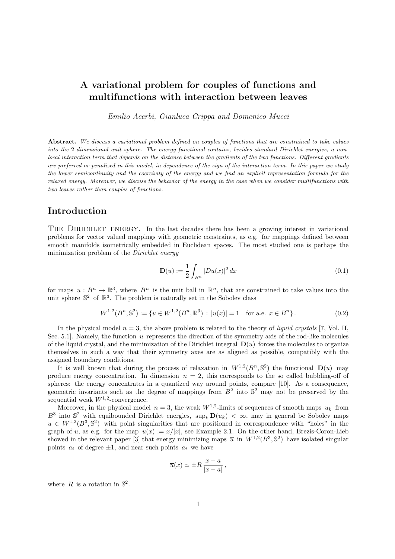# A variational problem for couples of functions and multifunctions with interaction between leaves

Emilio Acerbi, Gianluca Crippa and Domenico Mucci

Abstract. We discuss a variational problem defined on couples of functions that are constrained to take values into the 2-dimensional unit sphere. The energy functional contains, besides standard Dirichlet energies, a nonlocal interaction term that depends on the distance between the gradients of the two functions. Different gradients are preferred or penalized in this model, in dependence of the sign of the interaction term. In this paper we study the lower semicontinuity and the coercivity of the energy and we find an explicit representation formula for the relaxed energy. Moreover, we discuss the behavior of the energy in the case when we consider multifunctions with two leaves rather than couples of functions.

### Introduction

THE DIRICHLET ENERGY. In the last decades there has been a growing interest in variational problems for vector valued mappings with geometric constraints, as e.g. for mappings defined between smooth manifolds isometrically embedded in Euclidean spaces. The most studied one is perhaps the minimization problem of the *Dirichlet energy* 

$$
\mathbf{D}(u) := \frac{1}{2} \int_{B^n} |Du(x)|^2 \, dx \tag{0.1}
$$

for maps  $u : B^n \to \mathbb{R}^3$ , where  $B^n$  is the unit ball in  $\mathbb{R}^n$ , that are constrained to take values into the unit sphere  $\mathbb{S}^2$  of  $\mathbb{R}^3$ . The problem is naturally set in the Sobolev class

$$
W^{1,2}(B^n, \mathbb{S}^2) := \{ u \in W^{1,2}(B^n, \mathbb{R}^3) : |u(x)| = 1 \text{ for a.e. } x \in B^n \}.
$$
 (0.2)

In the physical model  $n = 3$ , the above problem is related to the theory of *liquid crystals* [7, Vol. II, Sec. 5.1. Namely, the function  $u$  represents the direction of the symmetry axis of the rod-like molecules of the liquid crystal, and the minimization of the Dirichlet integral  $\mathbf{D}(u)$  forces the molecules to organize themselves in such a way that their symmetry axes are as aligned as possible, compatibly with the assigned boundary conditions.

It is well known that during the process of relaxation in  $W^{1,2}(B^n, \mathbb{S}^2)$  the functional  $\mathbf{D}(u)$  may produce energy concentration. In dimension  $n = 2$ , this corresponds to the so called bubbling-off of spheres: the energy concentrates in a quantized way around points, compare [10]. As a consequence, geometric invariants such as the degree of mappings from  $B^2$  into  $\mathbb{S}^2$  may not be preserved by the sequential weak  $W^{1,2}$ -convergence.

Moreover, in the physical model  $n = 3$ , the weak  $W^{1,2}$ -limits of sequences of smooth maps  $u_k$  from  $B^3$  into  $\mathbb{S}^2$  with equibounded Dirichlet energies,  $\sup_k \mathbf{D}(u_k) < \infty$ , may in general be Sobolev maps  $u \in W^{1,2}(B^3, \mathbb{S}^2)$  with point singularities that are positioned in correspondence with "holes" in the graph of u, as e.g. for the map  $u(x) := x/|x|$ , see Example 2.1. On the other hand, Brezis-Coron-Lieb showed in the relevant paper [3] that energy minimizing maps  $\bar{u}$  in  $W^{1,2}(B^3, \mathbb{S}^2)$  have isolated singular points  $a_i$  of degree  $\pm 1$ , and near such points  $a_i$  we have

$$
\overline{u}(x) \simeq \pm R \, \frac{x-a}{|x-a|} \,,
$$

where  $R$  is a rotation in  $\mathbb{S}^2$ .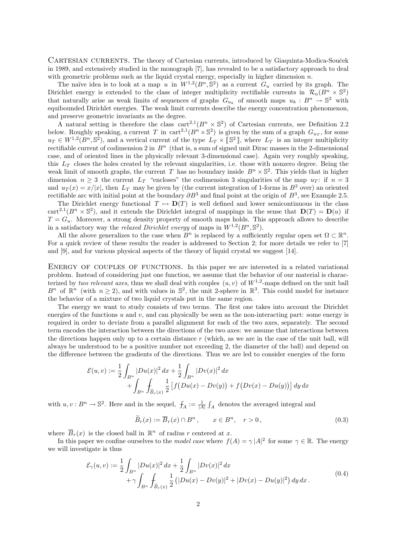CARTESIAN CURRENTS. The theory of Cartesian currents, introduced by Giaquinta-Modica-Souček in 1989, and extensively studied in the monograph [7], has revealed to be a satisfactory approach to deal with geometric problems such as the liquid crystal energy, especially in higher dimension  $n$ .

The naïve idea is to look at a map u in  $W^{1,2}(B^n,\mathbb{S}^2)$  as a current  $G_u$  carried by its graph. The Dirichlet energy is extended to the class of integer multiplicity rectifiable currents in  $\mathcal{R}_n(B^n \times \mathbb{S}^2)$ that naturally arise as weak limits of sequences of graphs  $G_{u_k}$  of smooth maps  $u_k : B^n \to \mathbb{S}^2$  with equibounded Dirichlet energies. The weak limit currents describe the energy concentration phenomenon, and preserve geometric invariants as the degree.

A natural setting is therefore the class cart<sup>2,1</sup>( $B<sup>n</sup> \times \mathbb{S}^2$ ) of Cartesian currents, see Definition 2.2 below. Roughly speaking, a current T in cart<sup>2,1</sup> $(B<sup>n</sup> \times \mathbb{S}^2)$  is given by the sum of a graph  $G_{u_T}$ , for some  $u_T \in W^{1,2}(B^n, \mathbb{S}^2)$ , and a vertical current of the type  $L_T \times \llbracket \mathbb{S}^2 \rrbracket$ , where  $L_T$  is an integer multiplicity rectifiable current of codimension 2 in  $B<sup>n</sup>$  (that is, a sum of signed unit Dirac masses in the 2-dimensional case, and of oriented lines in the physically relevant 3-dimensional case). Again very roughly speaking, this  $L_T$  closes the holes created by the relevant singularities, i.e. those with nonzero degree. Being the weak limit of smooth graphs, the current T has no boundary inside  $B<sup>n</sup> \times \mathbb{S}^2$ . This yields that in higher dimension  $n \geq 3$  the current  $L_T$  "encloses" the codimension 3 singularities of the map  $u_T$ : if  $n = 3$ and  $u_T(x) = x/|x|$ , then  $L_T$  may be given by (the current integration of 1-forms in  $B^3$  over) an oriented rectifiable arc with initial point at the boundary  $\partial B^3$  and final point at the origin of  $B^3$ , see Example 2.5.

The Dirichlet energy functional  $T \mapsto D(T)$  is well defined and lower semicontinuous in the class cart<sup>2,1</sup>( $B^n \times \mathbb{S}^2$ ), and it extends the Dirichlet integral of mappings in the sense that  $\mathbf{D}(T) = \mathbf{D}(u)$  if  $T = G_u$ . Moreover, a strong density property of smooth maps holds. This approach allows to describe in a satisfactory way the *relaxed Dirichlet energy* of maps in  $W^{1,2}(B^n, \mathbb{S}^2)$ .

All the above generalizes to the case when  $B^n$  is replaced by a sufficiently regular open set  $\Omega \subset \mathbb{R}^n$ . For a quick review of these results the reader is addressed to Section 2; for more details we refer to [7] and [9], and for various physical aspects of the theory of liquid crystal we suggest [14].

ENERGY OF COUPLES OF FUNCTIONS. In this paper we are interested in a related variational problem. Instead of considering just one function, we assume that the behavior of our material is characterized by two relevant axes, thus we shall deal with couples  $(u, v)$  of  $W^{1,2}$ -maps defined on the unit ball  $B^n$  of  $\mathbb{R}^n$  (with  $n \geq 2$ ), and with values in  $\mathbb{S}^2$ , the unit 2-sphere in  $\mathbb{R}^3$ . This could model for instance the behavior of a mixture of two liquid crystals put in the same region.

The energy we want to study consists of two terms. The first one takes into account the Dirichlet energies of the functions u and v, and can physically be seen as the non-interacting part: some energy is required in order to deviate from a parallel alignment for each of the two axes, separately. The second term encodes the interaction between the directions of the two axes: we assume that interactions between the directions happen only up to a certain distance  $r$  (which, as we are in the case of the unit ball, will always be understood to be a positive number not exceeding 2, the diameter of the ball) and depend on the difference between the gradients of the directions. Thus we are led to consider energies of the form

$$
\mathcal{E}(u,v) := \frac{1}{2} \int_{B^n} |Du(x)|^2 dx + \frac{1}{2} \int_{B^n} |Dv(x)|^2 dx + \int_{B^n} \int_{\widetilde{B}_r(x)} \frac{1}{2} [f(Du(x) - Dv(y)) + f(Dv(x) - Du(y))] dy dx
$$

with  $u, v: B^n \to \mathbb{S}^2$ . Here and in the sequel,  $f_A := \frac{1}{|A|} \int_A$  denotes the averaged integral and

$$
\widetilde{B}_r(x) := \overline{B}_r(x) \cap B^n, \qquad x \in B^n, \quad r > 0,\tag{0.3}
$$

where  $\overline{B}_r(x)$  is the closed ball in  $\mathbb{R}^n$  of radius r centered at x.

In this paper we confine ourselves to the *model case* where  $f(A) = \gamma |A|^2$  for some  $\gamma \in \mathbb{R}$ . The energy we will investigate is thus

$$
\mathcal{E}_{\gamma}(u,v) := \frac{1}{2} \int_{B^n} |Du(x)|^2 dx + \frac{1}{2} \int_{B^n} |Dv(x)|^2 dx + \gamma \int_{B^n} \int_{\widetilde{B}_r(x)} \frac{1}{2} (|Du(x) - Dv(y)|^2 + |Dv(x) - Du(y)|^2) dy dx.
$$
\n(0.4)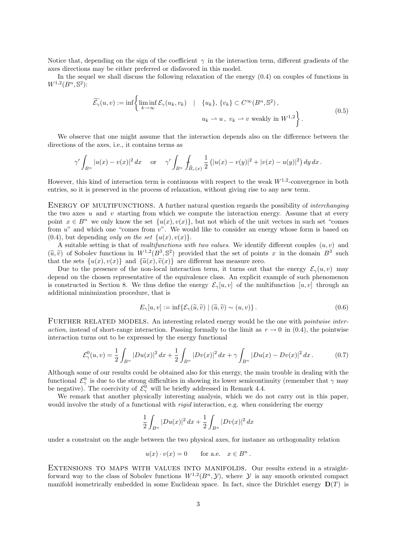Notice that, depending on the sign of the coefficient  $\gamma$  in the interaction term, different gradients of the axes directions may be either preferred or disfavored in this model.

In the sequel we shall discuss the following relaxation of the energy (0.4) on couples of functions in  $W^{1,2}(B^n, \mathbb{S}^2)$ :

$$
\widetilde{\mathcal{E}_{\gamma}}(u,v) := \inf \left\{ \liminf_{k \to \infty} \mathcal{E}_{\gamma}(u_k, v_k) \quad | \quad \{u_k\}, \{v_k\} \subset C^{\infty}(B^n, \mathbb{S}^2),
$$
\n
$$
u_k \to u, \ v_k \to v \text{ weakly in } W^{1,2} \right\}.
$$
\n
$$
(0.5)
$$

We observe that one might assume that the interaction depends also on the difference between the directions of the axes, i.e., it contains terms as

$$
\gamma' \int_{B^n} |u(x) - v(x)|^2 dx \quad \text{or} \quad \gamma' \int_{B^n} \int_{\widetilde{B}_r(x)} \frac{1}{2} (|u(x) - v(y)|^2 + |v(x) - u(y)|^2) dy dx.
$$

However, this kind of interaction term is continuous with respect to the weak  $W^{1,2}$ -convergence in both entries, so it is preserved in the process of relaxation, without giving rise to any new term.

ENERGY OF MULTIFUNCTIONS. A further natural question regards the possibility of *interchanging* the two axes  $u$  and  $v$  starting from which we compute the interaction energy. Assume that at every point  $x \in B^n$  we only know the set  $\{u(x), v(x)\}\)$ , but not which of the unit vectors in such set "comes" from  $u^{\prime\prime}$  and which one "comes from  $v^{\prime\prime}$ . We would like to consider an energy whose form is based on  $(0.4)$ , but depending only on the set  $\{u(x), v(x)\}.$ 

A suitable setting is that of multifunctions with two values. We identify different couples  $(u, v)$  and  $(\tilde{u}, \tilde{v})$  of Sobolev functions in  $W^{1,2}(B^3, \mathbb{S}^2)$  provided that the set of points x in the domain  $B^3$  such that the sets  $\{u(x), u(x)\}$  and  $\{\tilde{u}(x), \tilde{u}(x)\}$  are different bas measure zero. that the sets  $\{u(x), v(x)\}\$ and  $\{\tilde{u}(x), \tilde{v}(x)\}\$ are different has measure zero.

Due to the presence of the non-local interaction term, it turns out that the energy  $\mathcal{E}_{\gamma}(u, v)$  may depend on the chosen representative of the equivalence class. An explicit example of such phenomenon is constructed in Section 8. We thus define the energy  $\mathcal{E}_{\gamma}[u, v]$  of the multifunction  $[u, v]$  through an additional minimization procedure, that is

$$
E_{\gamma}[u, v] := \inf \{ \mathcal{E}_{\gamma}(\widetilde{u}, \widetilde{v}) \mid (\widetilde{u}, \widetilde{v}) \sim (u, v) \}.
$$
\n(0.6)

FURTHER RELATED MODELS. An interesting related energy would be the one with *pointwise inter*action, instead of short-range interaction. Passing formally to the limit as  $r \to 0$  in (0.4), the pointwise interaction turns out to be expressed by the energy functional

$$
\mathcal{E}^0_\gamma(u,v) = \frac{1}{2} \int_{B^n} |Du(x)|^2 \, dx + \frac{1}{2} \int_{B^n} |Dv(x)|^2 \, dx + \gamma \int_{B^n} |Du(x) - Dv(x)|^2 \, dx. \tag{0.7}
$$

Although some of our results could be obtained also for this energy, the main trouble in dealing with the functional  $\mathcal{E}^0_\gamma$  is due to the strong difficulties in showing its lower semicontinuity (remember that  $\gamma$  may be negative). The coercivity of  $\mathcal{E}_{\gamma}^0$  will be briefly addressed in Remark 4.4.

We remark that another physically interesting analysis, which we do not carry out in this paper, would involve the study of a functional with *rigid* interaction, e.g. when considering the energy

$$
\frac{1}{2} \int_{B^n} |Du(x)|^2 \, dx + \frac{1}{2} \int_{B^n} |Dv(x)|^2 \, dx
$$

under a constraint on the angle between the two physical axes, for instance an orthogonality relation

$$
u(x) \cdot v(x) = 0 \quad \text{for a.e.} \quad x \in B^n.
$$

EXTENSIONS TO MAPS WITH VALUES INTO MANIFOLDS. Our results extend in a straightforward way to the class of Sobolev functions  $W^{1,2}(B^n, \mathcal{Y})$ , where  $\mathcal Y$  is any smooth oriented compact manifold isometrically embedded in some Euclidean space. In fact, since the Dirichlet energy  $\mathbf{D}(T)$  is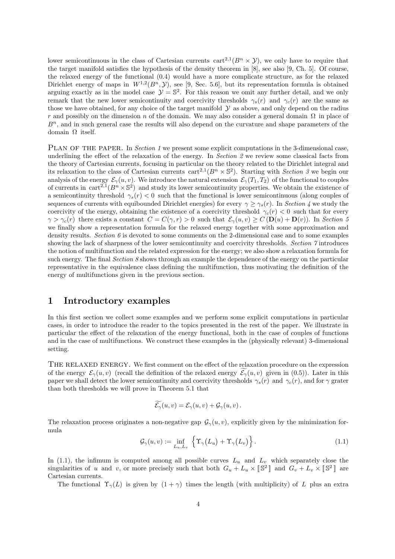lower semicontinuous in the class of Cartesian currents  $\text{cart}^{2,1}(B^n \times \mathcal{Y})$ , we only have to require that the target manifold satisfies the hypothesis of the density theorem in [8], see also [9, Ch. 5]. Of course, the relaxed energy of the functional (0.4) would have a more complicate structure, as for the relaxed Dirichlet energy of maps in  $W^{1,2}(B^n, \mathcal{Y})$ , see [9, Sec. 5.6], but its representation formula is obtained arguing exactly as in the model case  $\mathcal{Y} = \mathbb{S}^2$ . For this reason we omit any further detail, and we only remark that the new lower semicontinuity and coercivity thresholds  $\gamma_s(r)$  and  $\gamma_c(r)$  are the same as those we have obtained, for any choice of the target manifold  $\mathcal Y$  as above, and only depend on the radius r and possibly on the dimension n of the domain. We may also consider a general domain  $\Omega$  in place of  $B<sup>n</sup>$ , and in such general case the results will also depend on the curvature and shape parameters of the domain Ω itself.

PLAN OF THE PAPER. In *Section 1* we present some explicit computations in the 3-dimensional case, underlining the effect of the relaxation of the energy. In Section 2 we review some classical facts from the theory of Cartesian currents, focusing in particular on the theory related to the Dirichlet integral and its relaxation to the class of Cartesian currents  $\text{cart}^{2,1}(B^n \times \mathbb{S}^2)$ . Starting with Section 3 we begin our analysis of the energy  $\mathcal{E}_{\gamma}(u, v)$ . We introduce the natural extension  $\mathcal{E}_{\gamma}(T_1, T_2)$  of the functional to couples of currents in  $cart^{2,1}(B^n \times \mathbb{S}^2)$  and study its lower semicontinuity properties. We obtain the existence of a semicontinuity threshold  $\gamma_s(r) < 0$  such that the functional is lower semicontinuous (along couples of sequences of currents with equibounded Dirichlet energies) for every  $\gamma \geq \gamma_s(r)$ . In Section 4 we study the coercivity of the energy, obtaining the existence of a coercivity threshold  $\gamma_c(r) < 0$  such that for every  $\gamma > \gamma_c(r)$  there exists a constant  $C = C(\gamma, r) > 0$  such that  $\mathcal{E}_{\gamma}(u, v) \ge C(\mathbf{D}(u) + \mathbf{D}(v))$ . In Section 5 we finally show a representation formula for the relaxed energy together with some approximation and density results. Section 6 is devoted to some comments on the 2-dimensional case and to some examples showing the lack of sharpness of the lower semicontinuity and coercivity thresholds. Section 7 introduces the notion of multifunction and the related expression for the energy; we also show a relaxation formula for such energy. The final Section 8 shows through an example the dependence of the energy on the particular representative in the equivalence class defining the multifunction, thus motivating the definition of the energy of multifunctions given in the previous section.

### 1 Introductory examples

In this first section we collect some examples and we perform some explicit computations in particular cases, in order to introduce the reader to the topics presented in the rest of the paper. We illustrate in particular the effect of the relaxation of the energy functional, both in the case of couples of functions and in the case of multifunctions. We construct these examples in the (physically relevant) 3-dimensional setting.

THE RELAXED ENERGY. We first comment on the effect of the relaxation procedure on the expression of the energy  $\mathcal{E}_{\gamma}(u, v)$  (recall the definition of the relaxed energy  $\mathcal{E}_{\gamma}(u, v)$  given in (0.5)). Later in this paper we shall detect the lower semicontinuity and coercivity thresholds  $\gamma_s(r)$  and  $\gamma_c(r)$ , and for  $\gamma$  grater than both thresholds we will prove in Theorem 5.1 that

$$
\mathcal{E}_{\gamma}(u,v)=\mathcal{E}_{\gamma}(u,v)+\mathcal{G}_{\gamma}(u,v).
$$

The relaxation process originates a non-negative gap  $\mathcal{G}_{\gamma}(u, v)$ , explicitly given by the minimization formula

$$
\mathcal{G}_{\gamma}(u,v) := \inf_{L_u, L_v} \left\{ \Upsilon_{\gamma}(L_u) + \Upsilon_{\gamma}(L_v) \right\}.
$$
\n(1.1)

In (1.1), the infimum is computed among all possible curves  $L_u$  and  $L_v$  which separately close the singularities of u and v, or more precisely such that both  $G_u + L_u \times [\mathbb{S}^2]$  and  $G_v + L_v \times [\mathbb{S}^2]$  are Cartesian currents.

The functional  $\Upsilon_{\gamma}(L)$  is given by  $(1 + \gamma)$  times the length (with multiplicity) of L plus an extra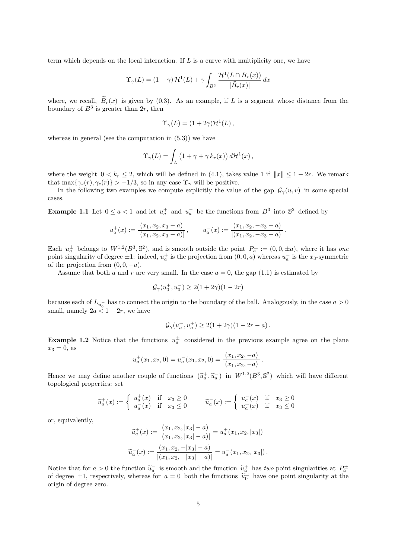term which depends on the local interaction. If  $L$  is a curve with multiplicity one, we have

$$
\Upsilon_{\gamma}(L) = (1+\gamma) \mathcal{H}^{1}(L) + \gamma \int_{B^3} \frac{\mathcal{H}^{1}(L \cap \overline{B}_r(x))}{|\widetilde{B}_r(x)|} dx
$$

where, we recall,  $\widetilde{B}_r(x)$  is given by (0.3). As an example, if L is a segment whose distance from the boundary of  $B^3$  is greater than  $2r$ , then

$$
\Upsilon_{\gamma}(L) = (1 + 2\gamma)\mathcal{H}^{1}(L),
$$

whereas in general (see the computation in (5.3)) we have

$$
\Upsilon_{\gamma}(L) = \int_{L} \left(1 + \gamma + \gamma k_r(x)\right) d\mathcal{H}^1(x),
$$

where the weight  $0 < k_r \leq 2$ , which will be defined in (4.1), takes value 1 if  $||x|| \leq 1 - 2r$ . We remark that max $\{\gamma_s(r), \gamma_c(r)\} > -1/3$ , so in any case  $\Upsilon_\gamma$  will be positive.

In the following two examples we compute explicitly the value of the gap  $\mathcal{G}_{\gamma}(u, v)$  in some special cases.

**Example 1.1** Let  $0 \le a < 1$  and let  $u_a^+$  and  $u_a^-$  be the functions from  $B^3$  into  $\mathbb{S}^2$  defined by

$$
u_a^+(x) := \frac{(x_1, x_2, x_3 - a)}{|(x_1, x_2, x_3 - a)|}, \qquad u_a^-(x) := \frac{(x_1, x_2, -x_3 - a)}{|(x_1, x_2, -x_3 - a)|}.
$$

Each  $u_a^{\pm}$  belongs to  $W^{1,2}(B^3,\mathbb{S}^2)$ , and is smooth outside the point  $P_a^{\pm} := (0,0,\pm a)$ , where it has one point singularity of degree  $\pm 1$ : indeed,  $u_a^+$  is the projection from  $(0, 0, a)$  whereas  $u_a^-$  is the  $x_3$ -symmetric of the projection from  $(0, 0, -a)$ .

Assume that both a and r are very small. In the case  $a = 0$ , the gap (1.1) is estimated by

$$
\mathcal{G}_{\gamma}(u_0^+, u_0^-) \ge 2(1 + 2\gamma)(1 - 2r)
$$

because each of  $L_{u_0^{\pm}}$  has to connect the origin to the boundary of the ball. Analogously, in the case  $a > 0$ small, namely  $2a < 1-2r$ , we have

$$
\mathcal{G}_{\gamma}(u_a^+, u_a^+) \ge 2(1+2\gamma)(1-2r-a).
$$

**Example 1.2** Notice that the functions  $u_a^{\pm}$  considered in the previous example agree on the plane  $x_3 = 0$ , as

$$
u_a^+(x_1, x_2, 0) = u_a^-(x_1, x_2, 0) = \frac{(x_1, x_2, -a)}{|(x_1, x_2, -a)|}.
$$

Hence we may define another couple of functions  $(\tilde{u}_a^+, \tilde{u}_a^-)$  in  $W^{1,2}(B^3, \mathbb{S}^2)$  which will have different topological proportions set topological properties: set

$$
\widetilde{u}_a^+(x) := \begin{cases}\n u_a^+(x) & \text{if } x_3 \ge 0 \\
 u_a^-(x) & \text{if } x_3 \le 0\n\end{cases}\n\qquad\n\widetilde{u}_a^-(x) := \begin{cases}\n u_a^-(x) & \text{if } x_3 \ge 0 \\
 u_a^+(x) & \text{if } x_3 \le 0\n\end{cases}
$$

or, equivalently,

$$
\widetilde{u}_a^+(x) := \frac{(x_1, x_2, |x_3| - a)}{|(x_1, x_2, |x_3| - a)|} = u_a^+(x_1, x_2, |x_3|)
$$

$$
\widetilde{u}_a^-(x) := \frac{(x_1, x_2, -|x_3| - a)}{|(x_1, x_2, -|x_3| - a)|} = u_a^-(x_1, x_2, |x_3|).
$$

Notice that for  $a > 0$  the function  $\tilde{u}_a^-\tilde{u}_a$  is smooth and the function  $\tilde{u}_a^+\tilde{u}_a$  has two point singularities at  $P_a^{\pm}$  of degree  $\pm 1$ , respectively, whereas for  $a = 0$  both the functions  $\tilde{u}_0^{\pm}$ origin of degree zero.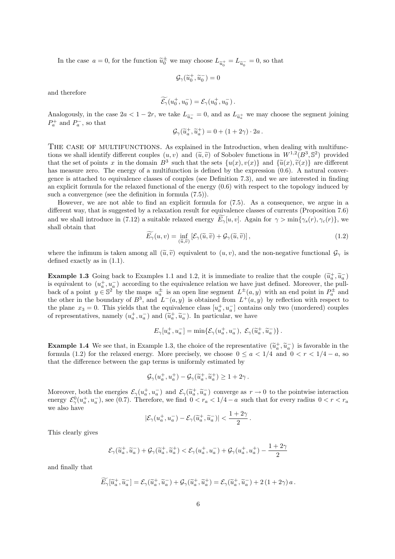In the case  $a = 0$ , for the function  $\tilde{u}_0^{\pm}$  we may choose  $L_{\tilde{u}_0^+} = L_{\tilde{u}_0^-} = 0$ , so that

$$
\mathcal{G}_{\gamma}(\widetilde{u}_0^+, \widetilde{u}_0^-) = 0
$$

and therefore

$$
\widetilde{\mathcal{E}_\gamma}(u_0^+, u_0^-) = \mathcal{E}_\gamma(u_0^+, u_0^-).
$$

Analogously, in the case  $2a < 1-2r$ , we take  $L_{\tilde{u}_a} = 0$ , and as  $L_{\tilde{u}_a^+}$  we may choose the segment joining  $P^+$  and  $P^-$  so that  $P_a^+$  and  $P_a^-$ , so that

$$
\mathcal{G}_{\gamma}(\widetilde{u}_a^+, \widetilde{u}_a^+) = 0 + (1 + 2\gamma) \cdot 2a \, .
$$

THE CASE OF MULTIFUNCTIONS. As explained in the Introduction, when dealing with multifunctions we shall identify different couples  $(u, v)$  and  $(\tilde{u}, \tilde{v})$  of Sobolev functions in  $W^{1,2}(B^3, S^2)$  provided<br>that the set of points x in the domain  $B^3$  such that the sets  $f_u(x)$   $u(x)$  and  $f\tilde{u}(x)$   $\tilde{u}(x)$ that the set of points x in the domain  $B^3$  such that the sets  $\{u(x), v(x)\}$  and  $\{\tilde{u}(x), \tilde{v}(x)\}$  are different<br>has magnitude and the approximation is defined by the approximation of  $\beta$ . A natural converhas measure zero. The energy of a multifunction is defined by the expression  $(0.6)$ . A natural convergence is attached to equivalence classes of couples (see Definition 7.3), and we are interested in finding an explicit formula for the relaxed functional of the energy (0.6) with respect to the topology induced by such a convergence (see the definition in formula (7.5)).

However, we are not able to find an explicit formula for (7.5). As a consequence, we argue in a different way, that is suggested by a relaxation result for equivalence classes of currents (Proposition 7.6) and we shall introduce in (7.12) a suitable relaxed energy  $E_{\gamma}[u, v]$ . Again for  $\gamma > \min\{\gamma_s(r), \gamma_c(r)\}\)$ , we shall obtain that

$$
\widetilde{E_{\gamma}}(u,v) = \inf_{(\widetilde{u},\widetilde{v})} \left[ \mathcal{E}_{\gamma}(\widetilde{u},\widetilde{v}) + \mathcal{G}_{\gamma}(\widetilde{u},\widetilde{v}) \right],\tag{1.2}
$$

where the infimum is taken among all  $(\tilde{u}, \tilde{v})$  equivalent to  $(u, v)$ , and the non-negative functional  $\mathcal{G}_{\gamma}$  is defined exactly as in (1.1).

**Example 1.3** Going back to Examples 1.1 and 1.2, it is immediate to realize that the couple  $(\tilde{u}_a^+, \tilde{u}_a^-)$  is equivalent to  $(u^+, u^-)$  according to the couplement option we have just defined. Moreover, the pull is equivalent to  $(u_a^+, u_a^-)$  according to the equivalence relation we have just defined. Moreover, the pullback of a point  $y \in \mathbb{S}^2$  by the maps  $u_a^{\pm}$  is an open line segment  $L^{\pm}(a, y)$  with an end point in  $P_a^{\pm}$  and the other in the boundary of  $B^3$ , and  $L^-(a, y)$  is obtained from  $L^+(a, y)$  by reflection with respect to the plane  $x_3 = 0$ . This yields that the equivalence class  $[u_a^+, u_a^-]$  contains only two (unordered) couples of representatives, namely  $(u_a^+, u_a^-)$  and  $(\tilde{u}_a^+, \tilde{u}_a^-)$ . In particular, we have

$$
E_{\gamma}[u_a^+, u_a^-] = \min\{\mathcal{E}_{\gamma}(u_a^+, u_a^-), \ \mathcal{E}_{\gamma}(\widetilde{u}_a^+, \widetilde{u}_a^-)\}.
$$

**Example 1.4** We see that, in Example 1.3, the choice of the representative  $(\tilde{u}_a^+, \tilde{u}_a^-)$  is favorable in the formula (1.2) for the relaxed operay. More precisely we choose  $0 \le a \le 1/4$  and  $0 \le r \le 1/4 - a$ , so formula (1.2) for the relaxed energy. More precisely, we choose  $0 \le a < 1/4$  and  $0 < r < 1/4 - a$ , so that the difference between the gap terms is uniformly estimated by

$$
\mathcal{G}_{\gamma}(u_a^+, u_a^+) - \mathcal{G}_{\gamma}(\widetilde{u}_a^+, \widetilde{u}_a^+) \ge 1 + 2\gamma.
$$

Moreover, both the energies  $\mathcal{E}_{\gamma}(u_a^+, u_a^-)$  and  $\mathcal{E}_{\gamma}(\tilde{u}_a^+, \tilde{u}_a^-)$  converge as  $r \to 0$  to the pointwise interaction<br>operate  $\mathcal{E}_{\gamma}(u_a^+, u_a^-)$  soo (0.7). Therefore, we find  $0 \leq x \leq 1/4 - a$  such that for e energy  $\mathcal{E}_{\gamma}^{0}(u_a^+, u_a^-)$ , see (0.7). Therefore, we find  $0 < r_a < 1/4 - a$  such that for every radius  $0 < r < r_a$ we also have

$$
|\mathcal{E}_{\gamma}(u_a^+, u_a^-) - \mathcal{E}_{\gamma}(\widetilde{u}_a^+, \widetilde{u}_a^-)| < \frac{1+2\gamma}{2} \, .
$$

This clearly gives

$$
\mathcal{E}_{\gamma}(\widetilde{u}_a^+,\widetilde{u}_a^-)+\mathcal{G}_{\gamma}(\widetilde{u}_a^+,\widetilde{u}_a^+) < \mathcal{E}_{\gamma}(u_a^+,u_a^-)+\mathcal{G}_{\gamma}(u_a^+,u_a^+)-\frac{1+2\gamma}{2}
$$

and finally that

$$
\widetilde{E}_{\gamma}[\widetilde{u}_a^+, \widetilde{u}_a^-] = \mathcal{E}_{\gamma}(\widetilde{u}_a^+, \widetilde{u}_a^-) + \mathcal{G}_{\gamma}(\widetilde{u}_a^+, \widetilde{u}_a^+) = \mathcal{E}_{\gamma}(\widetilde{u}_a^+, \widetilde{u}_a^-) + 2(1 + 2\gamma) a.
$$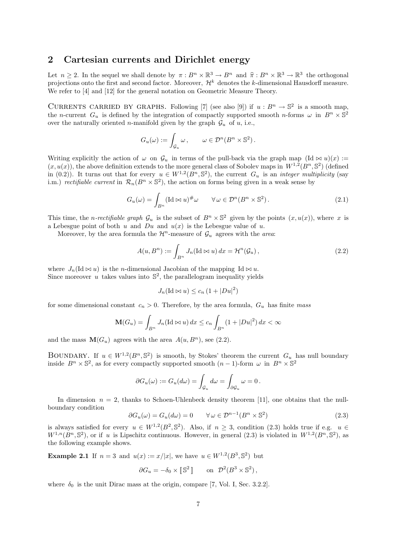### 2 Cartesian currents and Dirichlet energy

Let  $n \geq 2$ . In the sequel we shall denote by  $\pi : B^n \times \mathbb{R}^3 \to B^n$  and  $\hat{\pi} : B^n \times \mathbb{R}^3 \to \mathbb{R}^3$  the orthogonal projections onto the first and second fector. Moreover,  $\mathcal{H}^k$  denotes the k dimensional Haugdorff projections onto the first and second factor. Moreover,  $\mathcal{H}^k$  denotes the k-dimensional Hausdorff measure. We refer to [4] and [12] for the general notation on Geometric Measure Theory.

CURRENTS CARRIED BY GRAPHS. Following [7] (see also [9]) if  $u : B<sup>n</sup> \to \mathbb{S}^2$  is a smooth map, the n-current  $G_u$  is defined by the integration of compactly supported smooth n-forms  $\omega$  in  $B^n \times \mathbb{S}^2$ over the naturally oriented *n*-manifold given by the graph  $\mathcal{G}_u$  of u, i.e.,

$$
G_u(\omega) := \int_{\mathcal{G}_u} \omega \,, \qquad \omega \in \mathcal{D}^n(B^n \times \mathbb{S}^2) \,.
$$

Writing explicitly the action of  $\omega$  on  $\mathcal{G}_u$  in terms of the pull-back via the graph map  $(\mathrm{Id} \bowtie u)(x) :=$  $(x, u(x))$ , the above definition extends to the more general class of Sobolev maps in  $W^{1,2}(B^n, \mathbb{S}^2)$  (defined in (0.2)). It turns out that for every  $u \in W^{1,2}(B^n, \mathbb{S}^2)$ , the current  $G_u$  is an *integer multiplicity* (say i.m.) rectifiable current in  $\mathcal{R}_n(B^n \times \mathbb{S}^2)$ , the action on forms being given in a weak sense by

$$
G_u(\omega) = \int_{B^n} (\text{Id} \bowtie u)^{\#} \omega \qquad \forall \omega \in \mathcal{D}^n(B^n \times \mathbb{S}^2).
$$
 (2.1)

This time, the *n*-rectifiable graph  $\mathcal{G}_u$  is the subset of  $B^n \times \mathbb{S}^2$  given by the points  $(x, u(x))$ , where x is a Lebesgue point of both u and  $Du$  and  $u(x)$  is the Lebesgue value of u.

Moreover, by the area formula the  $\mathcal{H}^n$ -measure of  $\mathcal{G}_u$  agrees with the area:

$$
A(u, B^n) := \int_{B^n} J_n(\text{Id} \bowtie u) \, dx = \mathcal{H}^n(\mathcal{G}_u), \tag{2.2}
$$

where  $J_n(\mathrm{Id} \bowtie u)$  is the *n*-dimensional Jacobian of the mapping Id  $\bowtie u$ . Since moreover u takes values into  $\mathbb{S}^2$ , the parallelogram inequality yields

$$
J_n(\mathrm{Id} \bowtie u) \le c_n \left(1 + |Du|^2\right)
$$

for some dimensional constant  $c_n > 0$ . Therefore, by the area formula,  $G_u$  has finite mass

$$
\mathbf{M}(G_u) = \int_{B^n} J_n(\mathrm{Id} \otimes u) dx \le c_n \int_{B^n} (1 + |Du|^2) dx < \infty
$$

and the mass  $\mathbf{M}(G_u)$  agrees with the area  $A(u, B^n)$ , see (2.2).

BOUNDARY. If  $u \in W^{1,2}(B^n, \mathbb{S}^2)$  is smooth, by Stokes' theorem the current  $G_u$  has null boundary inside  $B^n \times \mathbb{S}^2$ , as for every compactly supported smooth  $(n-1)$ -form  $\omega$  in  $B^n \times \mathbb{S}^2$ 

$$
\partial G_u(\omega) := G_u(d\omega) = \int_{\mathcal{G}_u} d\omega = \int_{\partial \mathcal{G}_u} \omega = 0.
$$

In dimension  $n = 2$ , thanks to Schoen-Uhlenbeck density theorem [11], one obtains that the nullboundary condition

$$
\partial G_u(\omega) = G_u(d\omega) = 0 \qquad \forall \omega \in \mathcal{D}^{n-1}(B^n \times \mathbb{S}^2)
$$
\n(2.3)

is always satisfied for every  $u \in W^{1,2}(B^2, \mathbb{S}^2)$ . Also, if  $n \geq 3$ , condition (2.3) holds true if e.g.  $u \in$  $W^{1,n}(B^n, \mathbb{S}^2)$ , or if u is Lipschitz continuous. However, in general (2.3) is violated in  $W^{1,2}(B^n, \mathbb{S}^2)$ , as the following example shows.

**Example 2.1** If  $n=3$  and  $u(x) := x/|x|$ , we have  $u \in W^{1,2}(B^3, \mathbb{S}^2)$  but

$$
\partial G_u = -\delta_0 \times [\mathbb{S}^2] \quad \text{on} \quad \mathcal{D}^2(B^3 \times \mathbb{S}^2),
$$

where  $\delta_0$  is the unit Dirac mass at the origin, compare [7, Vol. I, Sec. 3.2.2].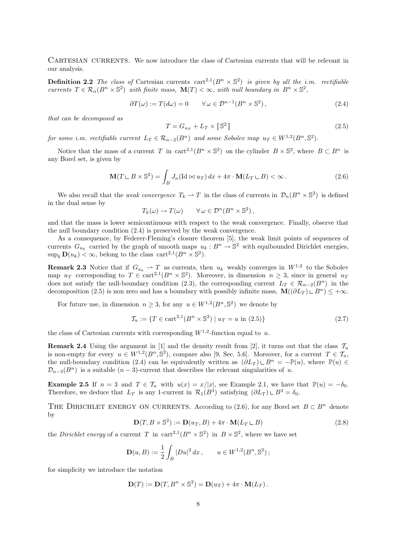CARTESIAN CURRENTS. We now introduce the class of Cartesian currents that will be relevant in our analysis.

**Definition 2.2** The class of Cartesian currents  $\text{cart}^{2,1}(B^n \times \mathbb{S}^2)$  is given by all the i.m. rectifiable currents  $T \in \mathcal{R}_n(B^n \times \mathbb{S}^2)$  with finite mass,  $\mathbf{M}(T) < \infty$ , with null boundary in  $B^n \times \mathbb{S}^2$ ,

$$
\partial T(\omega) := T(d\omega) = 0 \qquad \forall \,\omega \in \mathcal{D}^{n-1}(B^n \times \mathbb{S}^2), \tag{2.4}
$$

that can be decomposed as

$$
T = G_{u_T} + L_T \times [\mathbb{S}^2] \tag{2.5}
$$

for some i.m. rectifiable current  $L_T \in \mathcal{R}_{n-2}(B^n)$  and some Sobolev map  $u_T \in W^{1,2}(B^n, \mathbb{S}^2)$ .

Notice that the mass of a current T in cart<sup>2,1</sup>( $B<sup>n</sup> \times \mathbb{S}^2$ ) on the cylinder  $B \times \mathbb{S}^2$ , where  $B \subset B<sup>n</sup>$  is any Borel set, is given by

$$
\mathbf{M}(T \sqcup B \times \mathbb{S}^2) = \int_B J_n(\text{Id} \bowtie u_T) \, dx + 4\pi \cdot \mathbf{M}(L_T \sqcup B) < \infty. \tag{2.6}
$$

We also recall that the *weak convergence*  $T_k \rightharpoonup T$  in the class of currents in  $\mathcal{D}_n(B^n \times \mathbb{S}^2)$  is defined in the dual sense by

$$
T_k(\omega) \to T(\omega) \qquad \forall \omega \in \mathcal{D}^n(B^n \times \mathbb{S}^2),
$$

and that the mass is lower semicontinuous with respect to the weak convergence. Finally, observe that the null boundary condition (2.4) is preserved by the weak convergence.

As a consequence, by Federer-Fleming's closure theorem [5], the weak limit points of sequences of currents  $G_{u_k}$  carried by the graph of smooth maps  $u_k : B^n \to \mathbb{S}^2$  with equibounded Dirichlet energies,  $\sup_k \mathbf{D}(u_k) \leq \infty$ , belong to the class  $\text{cart}^{2,1}(B^n \times \mathbb{S}^2)$ .

**Remark 2.3** Notice that if  $G_{u_k} \rightharpoonup T$  as currents, then  $u_k$  weakly converges in  $W^{1,2}$  to the Sobolev map  $u_T$  corresponding to  $T \in \text{cart}^{2,1}(B^n \times \mathbb{S}^2)$ . Moreover, in dimension  $n \geq 3$ , since in general  $u_T$ does not satisfy the null-boundary condition (2.3), the corresponding current  $L_T \in \mathcal{R}_{n-2}(B^n)$  in the decomposition (2.5) is non zero and has a boundary with possibly infinite mass,  $\mathbf{M}((\partial L_T) \cup B^n) \leq +\infty$ .

For future use, in dimension  $n \geq 3$ , for any  $u \in W^{1,2}(B^n, \mathbb{S}^2)$  we denote by

$$
\mathcal{T}_u := \{ T \in \text{cart}^{2,1}(B^n \times \mathbb{S}^2) \mid u_T = u \text{ in (2.5)} \}
$$
\n(2.7)

the class of Cartesian currents with corresponding  $W^{1,2}$ -function equal to u.

**Remark 2.4** Using the argument in [1] and the density result from [2], it turns out that the class  $\mathcal{T}_u$ is non-empty for every  $u \in W^{1,2}(B^n, \mathbb{S}^2)$ , compare also [9, Sec. 5.6]. Moreover, for a current  $T \in \mathcal{T}_u$ , the null-boundary condition (2.4) can be equivalently written as  $(\partial L_T) \cup B^n = -\mathbb{P}(u)$ , where  $\mathbb{P}(u) \in$  $\mathcal{D}_{n-3}(B^n)$  is a suitable  $(n-3)$ -current that describes the relevant singularities of u.

**Example 2.5** If  $n = 3$  and  $T \in \mathcal{T}_u$  with  $u(x) = x/|x|$ , see Example 2.1, we have that  $\mathbb{P}(u) = -\delta_0$ . Therefore, we deduce that  $L_T$  is any 1-current in  $\mathcal{R}_1(B^3)$  satisfying  $(\partial L_T) \cup B^3 = \delta_0$ .

THE DIRICHLET ENERGY ON CURRENTS. According to (2.6), for any Borel set  $B \subset B^n$  denote by

$$
\mathbf{D}(T, B \times \mathbb{S}^2) := \mathbf{D}(u_T, B) + 4\pi \cdot \mathbf{M}(L_T \sqcup B)
$$
\n(2.8)

the *Dirichlet energy* of a current T in  $\text{cart}^{2,1}(B^n \times \mathbb{S}^2)$  in  $B \times \mathbb{S}^2$ , where we have set

$$
\mathbf{D}(u,B) := \frac{1}{2} \int_B |Du|^2 \, dx \,, \qquad u \in W^{1,2}(B^n, \mathbb{S}^2) \,;
$$

for simplicity we introduce the notation

$$
\mathbf{D}(T) := \mathbf{D}(T, B^n \times \mathbb{S}^2) = \mathbf{D}(u_T) + 4\pi \cdot \mathbf{M}(L_T).
$$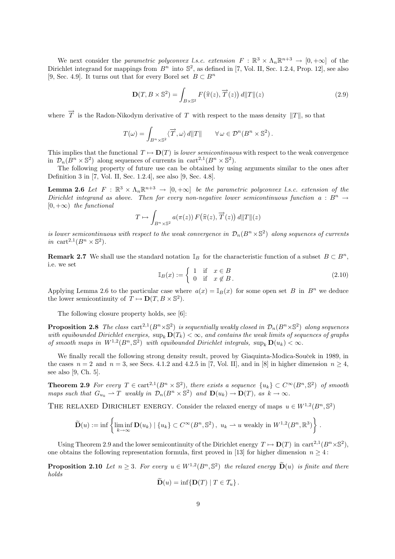We next consider the parametric polyconvex l.s.c. extension  $F : \mathbb{R}^3 \times \Lambda_n \mathbb{R}^{n+3} \to [0, +\infty]$  of the Dirichlet integrand for mappings from  $B<sup>n</sup>$  into  $\mathbb{S}^2$ , as defined in [7, Vol. II, Sec. 1.2.4, Prop. 12], see also [9, Sec. 4.9]. It turns out that for every Borel set  $B \subset B^n$ 

$$
\mathbf{D}(T, B \times \mathbb{S}^2) = \int_{B \times \mathbb{S}^2} F(\hat{\pi}(z), \overrightarrow{T}(z)) d\|T\|(z)
$$
\n(2.9)

where  $\overrightarrow{T}$  is the Radon-Nikodym derivative of T with respect to the mass density  $||T||$ , so that

$$
T(\omega) = \int_{B^n \times \mathbb{S}^2} \langle \overrightarrow{T}, \omega \rangle d\|T\| \qquad \forall \omega \in \mathcal{D}^n(B^n \times \mathbb{S}^2).
$$

This implies that the functional  $T \mapsto \mathbf{D}(T)$  is lower semicontinuous with respect to the weak convergence in  $\mathcal{D}_n(B^n \times \mathbb{S}^2)$  along sequences of currents in cart<sup>2,1</sup>( $B^n \times \mathbb{S}^2$ ).

The following property of future use can be obtained by using arguments similar to the ones after Definition 3 in [7, Vol. II, Sec. 1.2.4], see also [9, Sec. 4.8].

**Lemma 2.6** Let  $F : \mathbb{R}^3 \times \Lambda_n \mathbb{R}^{n+3} \to [0, +\infty]$  be the parametric polyconvex l.s.c. extension of the Dirichlet integrand as above. Then for every non-negative lower semicontinuous function  $a : B^n \rightarrow$  $[0, +\infty)$  the functional

$$
T \mapsto \int_{B^n \times \mathbb{S}^2} a(\pi(z)) F(\widehat{\pi}(z), \overrightarrow{T}(z)) d||T||(z)
$$

is lower semicontinuous with respect to the weak convergence in  $\mathcal{D}_n(B^n \times \mathbb{S}^2)$  along sequences of currents in cart<sup>2,1</sup> $(B<sup>n</sup> \times \mathbb{S}^2)$ .

**Remark 2.7** We shall use the standard notation  $\mathbb{I}_B$  for the characteristic function of a subset  $B \subset B^n$ , i.e. we set

$$
\mathbb{I}_B(x) := \begin{cases} 1 & \text{if } x \in B \\ 0 & \text{if } x \notin B \,. \end{cases}
$$
 (2.10)

Applying Lemma 2.6 to the particular case where  $a(x) = \mathbb{I}_B(x)$  for some open set B in  $B^n$  we deduce the lower semicontinuity of  $T \mapsto \mathbf{D}(T, B \times \mathbb{S}^2)$ .

The following closure property holds, see [6]:

**Proposition 2.8** The class  $\text{cart}^{2,1}(B^n\times\mathbb{S}^2)$  is sequentially weakly closed in  $\mathcal{D}_n(B^n\times\mathbb{S}^2)$  along sequences with equibounded Dirichlet energies,  $\sup_k D(T_k) < \infty$ , and contains the weak limits of sequences of graphs of smooth maps in  $W^{1,2}(B^n, \mathbb{S}^2)$  with equibounded Dirichlet integrals,  $\sup_k \mathbf{D}(u_k) < \infty$ .

We finally recall the following strong density result, proved by Giaquinta-Modica-Souček in 1989, in the cases  $n = 2$  and  $n = 3$ , see Secs. 4.1.2 and 4.2.5 in [7, Vol. II], and in [8] in higher dimension  $n \geq 4$ , see also [9, Ch. 5].

**Theorem 2.9** For every  $T \in \text{cart}^{2,1}(B^n \times \mathbb{S}^2)$ , there exists a sequence  $\{u_k\} \subset C^{\infty}(B^n, \mathbb{S}^2)$  of smooth maps such that  $G_{u_k} \rightharpoonup T$  weakly in  $\mathcal{D}_n(B^n \times \mathbb{S}^2)$  and  $\mathbf{D}(u_k) \rightharpoonup \mathbf{D}(T)$ , as  $k \rightharpoonup \infty$ .

THE RELAXED DIRICHLET ENERGY. Consider the relaxed energy of maps  $u \in W^{1,2}(B^n, \mathbb{S}^2)$ 

$$
\widetilde{\mathbf{D}}(u) := \inf \left\{ \liminf_{k \to \infty} \mathbf{D}(u_k) \mid \{u_k\} \subset C^{\infty}(B^n, \mathbb{S}^2), \ u_k \rightharpoonup u \text{ weakly in } W^{1,2}(B^n, \mathbb{R}^3) \right\}.
$$

Using Theorem 2.9 and the lower semicontinuity of the Dirichlet energy  $T \mapsto D(T)$  in cart<sup>2,1</sup>( $B<sup>n</sup> \times \mathbb{S}^2$ ), one obtains the following representation formula, first proved in [13] for higher dimension  $n \geq 4$ :

**Proposition 2.10** Let  $n \geq 3$ . For every  $u \in W^{1,2}(B^n, \mathbb{S}^2)$  the relaxed energy  $\widetilde{\mathbf{D}}(u)$  is finite and there holds

$$
\mathbf{D}(u) = \inf \{ \mathbf{D}(T) \mid T \in \mathcal{T}_u \}.
$$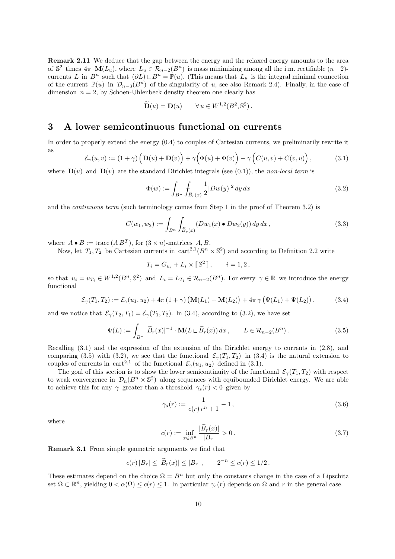Remark 2.11 We deduce that the gap between the energy and the relaxed energy amounts to the area of  $\mathbb{S}^2$  times  $4\pi \cdot \mathbf{M}(L_u)$ , where  $L_u \in \mathcal{R}_{n-2}(B^n)$  is mass minimizing among all the i.m. rectifiable  $(n-2)$ currents L in  $B^n$  such that  $(\partial L) \cup B^n = \mathbb{P}(u)$ . (This means that  $L_u$  is the integral minimal connection of the current  $\mathbb{P}(u)$  in  $\mathcal{D}_{n-3}(B^n)$  of the singularity of u, see also Remark 2.4). Finally, in the case of dimension  $n = 2$ , by Schoen-Uhlenbeck density theorem one clearly has

$$
\widetilde{\mathbf{D}}(u) = \mathbf{D}(u) \qquad \forall u \in W^{1,2}(B^2, \mathbb{S}^2).
$$

### 3 A lower semicontinuous functional on currents

In order to properly extend the energy (0.4) to couples of Cartesian currents, we preliminarily rewrite it as

$$
\mathcal{E}_{\gamma}(u,v) := (1+\gamma) \left( \mathbf{D}(u) + \mathbf{D}(v) \right) + \gamma \Big( \Phi(u) + \Phi(v) \Big) - \gamma \Big( C(u,v) + C(v,u) \Big), \tag{3.1}
$$

where  $\mathbf{D}(u)$  and  $\mathbf{D}(v)$  are the standard Dirichlet integrals (see (0.1)), the non-local term is

$$
\Phi(w) := \int_{B^n} \int_{\widetilde{B}_r(x)} \frac{1}{2} |Dw(y)|^2 \, dy \, dx \tag{3.2}
$$

and the *continuous term* (such terminology comes from Step 1 in the proof of Theorem 3.2) is

$$
C(w_1, w_2) := \int_{B^n} \int_{\widetilde{B}_r(x)} (Dw_1(x) \bullet Dw_2(y)) \, dy \, dx \,, \tag{3.3}
$$

where  $A \bullet B := \text{trace}(AB^T)$ , for  $(3 \times n)$ -matrices  $A, B$ .

Now, let  $T_1, T_2$  be Cartesian currents in  $\text{cart}^{2,1}(B^n \times \mathbb{S}^2)$  and according to Definition 2.2 write

$$
T_i = G_{u_i} + L_i \times [\mathbb{S}^2], \qquad i = 1, 2,
$$

so that  $u_i = u_{T_i} \in W^{1,2}(B^n, \mathbb{S}^2)$  and  $L_i = L_{T_i} \in \mathcal{R}_{n-2}(B^n)$ . For every  $\gamma \in \mathbb{R}$  we introduce the energy functional

$$
\mathcal{E}_{\gamma}(T_1, T_2) := \mathcal{E}_{\gamma}(u_1, u_2) + 4\pi (1 + \gamma) \left( \mathbf{M}(L_1) + \mathbf{M}(L_2) \right) + 4\pi \gamma \left( \Psi(L_1) + \Psi(L_2) \right), \tag{3.4}
$$

and we notice that  $\mathcal{E}_{\gamma}(T_2,T_1) = \mathcal{E}_{\gamma}(T_1,T_2)$ . In (3.4), according to (3.2), we have set

$$
\Psi(L) := \int_{B^n} |\widetilde{B}_r(x)|^{-1} \cdot \mathbf{M}(L \sqcup \widetilde{B}_r(x)) dx, \qquad L \in \mathcal{R}_{n-2}(B^n). \tag{3.5}
$$

Recalling (3.1) and the expression of the extension of the Dirichlet energy to currents in (2.8), and comparing (3.5) with (3.2), we see that the functional  $\mathcal{E}_{\gamma}(T_1, T_2)$  in (3.4) is the natural extension to couples of currents in cart<sup>2,1</sup> of the functional  $\mathcal{E}_{\gamma}(u_1, u_2)$  defined in (3.1).

The goal of this section is to show the lower semicontinuity of the functional  $\mathcal{E}_{\gamma}(T_1, T_2)$  with respect to weak convergence in  $\mathcal{D}_n(B^n \times \mathbb{S}^2)$  along sequences with equibounded Dirichlet energy. We are able to achieve this for any  $\gamma$  greater than a threshold  $\gamma_s(r) < 0$  given by

$$
\gamma_s(r) := \frac{1}{c(r) \, r^n + 1} - 1 \,,\tag{3.6}
$$

where

$$
c(r) := \inf_{x \in B^n} \frac{|\tilde{B}_r(x)|}{|B_r|} > 0.
$$
\n(3.7)

Remark 3.1 From simple geometric arguments we find that

$$
c(r) |B_r| \leq |\widetilde{B}_r(x)| \leq |B_r|, \qquad 2^{-n} \leq c(r) \leq 1/2.
$$

These estimates depend on the choice  $\Omega = B^n$  but only the constants change in the case of a Lipschitz set  $\Omega \subset \mathbb{R}^n$ , yielding  $0 < \alpha(\Omega) \le c(r) \le 1$ . In particular  $\gamma_s(r)$  depends on  $\Omega$  and r in the general case.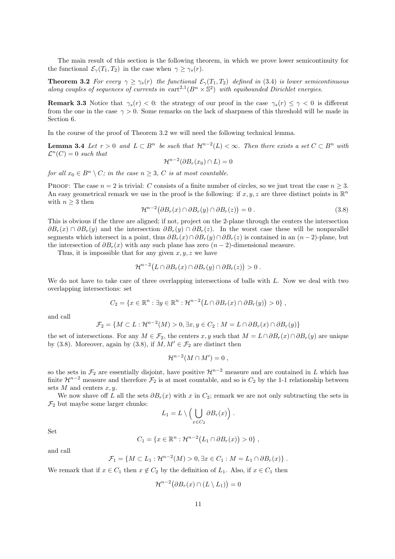The main result of this section is the following theorem, in which we prove lower semicontinuity for the functional  $\mathcal{E}_{\gamma}(T_1, T_2)$  in the case when  $\gamma \geq \gamma_s(r)$ .

**Theorem 3.2** For every  $\gamma \ge \gamma_s(r)$  the functional  $\mathcal{E}_{\gamma}(T_1, T_2)$  defined in (3.4) is lower semicontinuous along couples of sequences of currents in  $cart^{2,1}(B^n \times \mathbb{S}^2)$  with equibounded Dirichlet energies.

**Remark 3.3** Notice that  $\gamma_s(r) < 0$ : the strategy of our proof in the case  $\gamma_s(r) \leq \gamma < 0$  is different from the one in the case  $\gamma > 0$ . Some remarks on the lack of sharpness of this threshold will be made in Section 6.

In the course of the proof of Theorem 3.2 we will need the following technical lemma.

**Lemma 3.4** Let  $r > 0$  and  $L \subset B^n$  be such that  $\mathcal{H}^{n-2}(L) < \infty$ . Then there exists a set  $C \subset B^n$  with  $\mathcal{L}^n(C) = 0$  such that

$$
\mathcal{H}^{n-2}(\partial B_r(x_0) \cap L) = 0
$$

for all  $x_0 \in B^n \setminus C$ ; in the case  $n \geq 3$ , C is at most countable.

PROOF: The case  $n = 2$  is trivial: C consists of a finite number of circles, so we just treat the case  $n \geq 3$ . An easy geometrical remark we use in the proof is the following: if  $x, y, z$  are three distinct points in  $\mathbb{R}^n$ with  $n \geq 3$  then

$$
\mathcal{H}^{n-2}(\partial B_r(x) \cap \partial B_r(y) \cap \partial B_r(z)) = 0.
$$
\n(3.8)

This is obvious if the three are aligned; if not, project on the 2-plane through the centers the intersection  $\partial B_r(x) \cap \partial B_r(y)$  and the intersection  $\partial B_r(y) \cap \partial B_r(z)$ . In the worst case these will be nonparallel segments which intersect in a point, thus  $\partial B_r(x) \cap \partial B_r(y) \cap \partial B_r(z)$  is contained in an  $(n-2)$ -plane, but the intersection of  $\partial B_r(x)$  with any such plane has zero  $(n-2)$ -dimensional measure.

Thus, it is impossible that for any given  $x, y, z$  we have

$$
\mathcal{H}^{n-2}\big(L\cap\partial B_r(x)\cap\partial B_r(y)\cap\partial B_r(z)\big)>0.
$$

We do not have to take care of three overlapping intersections of balls with L. Now we deal with two overlapping intersections: set

$$
C_2 = \{x \in \mathbb{R}^n : \exists y \in \mathbb{R}^n : \mathcal{H}^{n-2}(L \cap \partial B_r(x) \cap \partial B_r(y)) > 0\},\,
$$

and call

$$
\mathcal{F}_2 = \{ M \subset L : \mathcal{H}^{n-2}(M) > 0, \exists x, y \in C_2 : M = L \cap \partial B_r(x) \cap \partial B_r(y) \}
$$

the set of intersections. For any  $M \in \mathcal{F}_2$ , the centers x, y such that  $M = L \cap \partial B_r(x) \cap \partial B_r(y)$  are unique by (3.8). Moreover, again by (3.8), if  $M, M' \in \mathcal{F}_2$  are distinct then

$$
\mathcal{H}^{n-2}(M \cap M') = 0 ,
$$

so the sets in  $\mathcal{F}_2$  are essentially disjoint, have positive  $\mathcal{H}^{n-2}$  measure and are contained in L which has finite  $\mathcal{H}^{n-2}$  measure and therefore  $\mathcal{F}_2$  is at most countable, and so is  $C_2$  by the 1-1 relationship between sets  $M$  and centers  $x, y$ .

We now shave off L all the sets  $\partial B_r(x)$  with x in  $C_2$ ; remark we are not only subtracting the sets in  $\mathcal{F}_2$  but maybe some larger chunks:

$$
L_1 = L \setminus \left( \bigcup_{x \in C_2} \partial B_r(x) \right).
$$

Set

$$
C_1 = \{x \in \mathbb{R}^n : \mathcal{H}^{n-2}(L_1 \cap \partial B_r(x)) > 0\},\,
$$

and call

$$
\mathcal{F}_1 = \{ M \subset L_1 : \mathcal{H}^{n-2}(M) > 0, \exists x \in C_1 : M = L_1 \cap \partial B_r(x) \}.
$$

We remark that if  $x \in C_1$  then  $x \notin C_2$  by the definition of  $L_1$ . Also, if  $x \in C_1$  then

$$
\mathcal{H}^{n-2}(\partial B_r(x) \cap (L \setminus L_1)) = 0
$$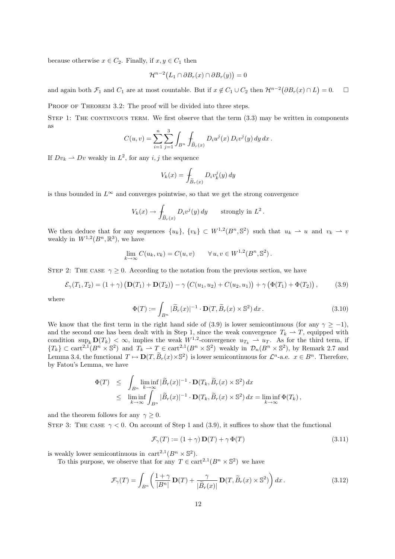because otherwise  $x \in C_2$ . Finally, if  $x, y \in C_1$  then

$$
\mathcal{H}^{n-2}(L_1 \cap \partial B_r(x) \cap \partial B_r(y)) = 0
$$

and again both  $\mathcal{F}_1$  and  $C_1$  are at most countable. But if  $x \notin C_1 \cup C_2$  then  $\mathcal{H}^{n-2}(\partial B_r(x) \cap L) = 0$ .  $\Box$ 

PROOF OF THEOREM 3.2: The proof will be divided into three steps.

STEP 1: THE CONTINUOUS TERM. We first observe that the term  $(3.3)$  may be written in components as 3

$$
C(u, v) = \sum_{i=1}^{n} \sum_{j=1}^{3} \int_{B^n} \int_{\widetilde{B}_r(x)} D_i u^j(x) D_i v^j(y) dy dx.
$$

If  $Dv_k \rightharpoonup Dv$  weakly in  $L^2$ , for any *i*, *j* the sequence

$$
V_k(x) = \int_{\widetilde{B}_r(x)} D_i v_k^j(y) dy
$$

is thus bounded in  $L^{\infty}$  and converges pointwise, so that we get the strong convergence

$$
V_k(x) \to \int_{\widetilde{B}_r(x)} D_i v^j(y) dy \quad \text{strongly in } L^2.
$$

We then deduce that for any sequences  $\{u_k\}, \{v_k\} \subset W^{1,2}(B^n, \mathbb{S}^2)$  such that  $u_k \rightharpoonup u$  and  $v_k \rightharpoonup v$ weakly in  $W^{1,2}(B^n,\mathbb{R}^3)$ , we have

$$
\lim_{k \to \infty} C(u_k, v_k) = C(u, v) \qquad \forall u, v \in W^{1,2}(B^n, \mathbb{S}^2).
$$

STEP 2: THE CASE  $\gamma \geq 0$ . According to the notation from the previous section, we have

$$
\mathcal{E}_{\gamma}(T_1, T_2) = (1 + \gamma) \left( \mathbf{D}(T_1) + \mathbf{D}(T_2) \right) - \gamma \left( C(u_1, u_2) + C(u_2, u_1) \right) + \gamma \left( \Phi(T_1) + \Phi(T_2) \right), \tag{3.9}
$$

where

$$
\Phi(T) := \int_{B^n} |\widetilde{B}_r(x)|^{-1} \cdot \mathbf{D}(T, \widetilde{B}_r(x) \times \mathbb{S}^2) dx.
$$
\n(3.10)

We know that the first term in the right hand side of (3.9) is lower semicontinuous (for any  $\gamma \ge -1$ ), and the second one has been dealt with in Step 1, since the weak convergence  $T_k \rightharpoonup T$ , equipped with condition  $\sup_k \mathbf{D}(T_k) < \infty$ , implies the weak  $W^{1,2}$ -convergence  $u_{T_k} \rightharpoonup u_T$ . As for the third term, if  ${T_k} \subset \text{cart}^{2,1}(B^n \times \mathbb{S}^2)$  and  $T_k \rightharpoonup T \in \text{cart}^{2,1}(B^n \times \mathbb{S}^2)$  weakly in  $\mathcal{D}_n(B^n \times \mathbb{S}^2)$ , by Remark 2.7 and Lemma 3.4, the functional  $T \mapsto \mathbf{D}(T, \widetilde{B}_r(x) \times \mathbb{S}^2)$  is lower semicontinuous for  $\mathcal{L}^n$ -a.e.  $x \in B^n$ . Therefore, by Fatou's Lemma, we have

$$
\Phi(T) \leq \int_{B^n} \liminf_{k \to \infty} |\widetilde{B}_r(x)|^{-1} \cdot \mathbf{D}(T_k, \widetilde{B}_r(x) \times \mathbb{S}^2) dx
$$
  

$$
\leq \liminf_{k \to \infty} \int_{B^n} |\widetilde{B}_r(x)|^{-1} \cdot \mathbf{D}(T_k, \widetilde{B}_r(x) \times \mathbb{S}^2) dx = \liminf_{k \to \infty} \Phi(T_k),
$$

and the theorem follows for any  $\gamma \geq 0$ .

STEP 3: THE CASE  $\gamma < 0$ . On account of Step 1 and (3.9), it suffices to show that the functional

$$
\mathcal{F}_{\gamma}(T) := (1 + \gamma) \mathbf{D}(T) + \gamma \Phi(T) \tag{3.11}
$$

is weakly lower semicontinuous in  $\text{cart}^{2,1}(B^n \times \mathbb{S}^2)$ .

To this purpose, we observe that for any  $T \in \text{cart}^{2,1}(B^n \times \mathbb{S}^2)$  we have

$$
\mathcal{F}_{\gamma}(T) = \int_{B^n} \left( \frac{1+\gamma}{|B^n|} \mathbf{D}(T) + \frac{\gamma}{|\widetilde{B}_r(x)|} \mathbf{D}(T, \widetilde{B}_r(x) \times \mathbb{S}^2) \right) dx. \tag{3.12}
$$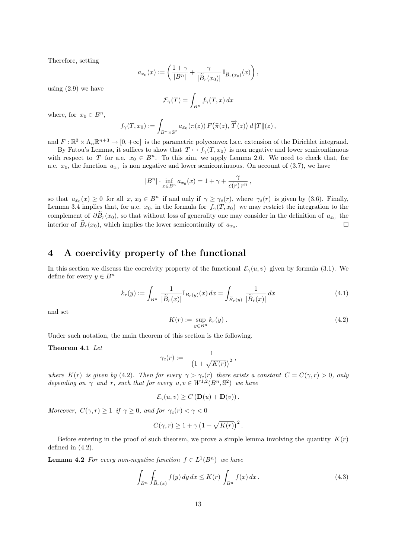Therefore, setting

$$
a_{x_0}(x) := \left(\frac{1+\gamma}{|B^n|} + \frac{\gamma}{|\widetilde{B}_r(x_0)|} \mathbb{I}_{\widetilde{B}_r(x_0)}(x)\right),\,
$$

using (2.9) we have

$$
\mathcal{F}_{\gamma}(T) = \int_{B^n} f_{\gamma}(T, x) \, dx
$$

where, for  $x_0 \in B^n$ ,

$$
f_{\gamma}(T,x_0) := \int_{B^n \times \mathbb{S}^2} a_{x_0}(\pi(z)) F(\widehat{\pi}(z), \overrightarrow{T}(z)) d\|T\|(z),
$$

and  $F: \mathbb{R}^3 \times \Lambda_n \mathbb{R}^{n+3} \to [0, +\infty]$  is the parametric polyconvex l.s.c. extension of the Dirichlet integrand.

By Fatou's Lemma, it suffices to show that  $T \mapsto f_{\gamma}(T, x_0)$  is non negative and lower semicontinuous with respect to T for a.e.  $x_0 \in B^n$ . To this aim, we apply Lemma 2.6. We need to check that, for a.e.  $x_0$ , the function  $a_{x_0}$  is non negative and lower semicontinuous. On account of (3.7), we have

$$
|B^n| \cdot \inf_{x \in B^n} a_{x_0}(x) = 1 + \gamma + \frac{\gamma}{c(r) r^n},
$$

so that  $a_{x_0}(x) \ge 0$  for all  $x, x_0 \in B^n$  if and only if  $\gamma \ge \gamma_s(r)$ , where  $\gamma_s(r)$  is given by (3.6). Finally, Lemma 3.4 implies that, for a.e.  $x_0$ , in the formula for  $f_\gamma(T, x_0)$  we may restrict the integration to the complement of  $\partial B_r(x_0)$ , so that without loss of generality one may consider in the definition of  $a_{x_0}$  the interior of  $\widetilde{B}_r(x_0)$ , which implies the lower semicontinuity of  $a_{x_0}$ . .

### 4 A coercivity property of the functional

In this section we discuss the coercivity property of the functional  $\mathcal{E}_{\gamma}(u, v)$  given by formula (3.1). We define for every  $y \in B^n$ 

$$
k_r(y) := \int_{B^n} \frac{1}{|\widetilde{B}_r(x)|} \mathbb{I}_{B_r(y)}(x) \, dx = \int_{\widetilde{B}_r(y)} \frac{1}{|\widetilde{B}_r(x)|} \, dx \tag{4.1}
$$

and set

$$
K(r) := \sup_{y \in B^n} k_r(y). \tag{4.2}
$$

Under such notation, the main theorem of this section is the following.

Theorem 4.1 Let

$$
\gamma_c(r):=-\frac{1}{\left(1+\sqrt{K(r)}\right)^2}\,,
$$

where  $K(r)$  is given by (4.2). Then for every  $\gamma > \gamma_c(r)$  there exists a constant  $C = C(\gamma, r) > 0$ , only depending on  $\gamma$  and r, such that for every  $u, v \in W^{1,2}(B^n, \mathbb{S}^2)$  we have

$$
\mathcal{E}_{\gamma}(u,v) \geq C\left(\mathbf{D}(u) + \mathbf{D}(v)\right).
$$

Moreover,  $C(\gamma, r) \geq 1$  if  $\gamma \geq 0$ , and for  $\gamma_c(r) < \gamma < 0$ 

$$
C(\gamma, r) \ge 1 + \gamma \left(1 + \sqrt{K(r)}\right)^2.
$$

Before entering in the proof of such theorem, we prove a simple lemma involving the quantity  $K(r)$ defined in (4.2).

**Lemma 4.2** For every non-negative function  $f \in L^1(B^n)$  we have

$$
\int_{B^n} \int_{\widetilde{B}_r(x)} f(y) dy dx \le K(r) \int_{B^n} f(x) dx.
$$
\n(4.3)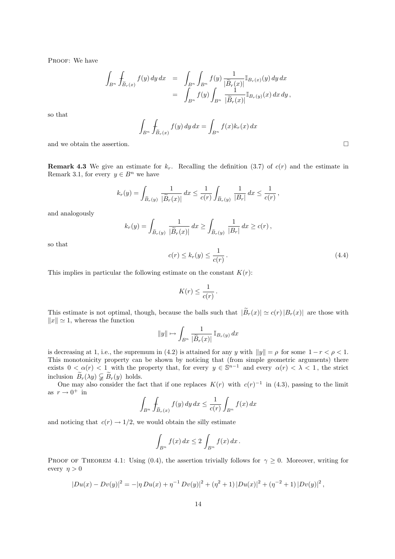PROOF: We have

$$
\begin{array}{rcl}\displaystyle\int_{B^n}\int_{\widetilde{B}_r(x)}f(y)\,dy\,dx&=&\displaystyle\int_{B^n}\int_{B^n}f(y)\,\frac{1}{|\widetilde{B}_r(x)|}\mathbb{I}_{B_r(x)}(y)\,dy\,dx\\&=&\displaystyle\int_{B^n}f(y)\int_{B^n}\,\frac{1}{|\widetilde{B}_r(x)|}\mathbb{I}_{B_r(y)}(x)\,dx\,dy\,,\end{array}
$$

so that

$$
\int_{B^n} \int_{\widetilde{B}_r(x)} f(y) \, dy \, dx = \int_{B^n} f(x) k_r(x) \, dx
$$

and we obtain the assertion.  $\Box$ 

**Remark 4.3** We give an estimate for  $k_r$ . Recalling the definition (3.7) of  $c(r)$  and the estimate in Remark 3.1, for every  $y \in B^n$  we have

$$
k_r(y) = \int_{\widetilde{B}_r(y)} \frac{1}{|\widetilde{B}_r(x)|} dx \le \frac{1}{c(r)} \int_{\widetilde{B}_r(y)} \frac{1}{|B_r|} dx \le \frac{1}{c(r)},
$$

and analogously

$$
k_r(y) = \int_{\widetilde{B}_r(y)} \frac{1}{|\widetilde{B}_r(x)|} dx \ge \int_{\widetilde{B}_r(y)} \frac{1}{|B_r|} dx \ge c(r),
$$

so that

$$
c(r) \le k_r(y) \le \frac{1}{c(r)}\,. \tag{4.4}
$$

This implies in particular the following estimate on the constant  $K(r)$ :

$$
K(r) \leq \frac{1}{c(r)}.
$$

This estimate is not optimal, though, because the balls such that  $|\widetilde{B}_r(x)| \simeq c(r)|B_r(x)|$  are those with  $||x|| \approx 1$ , whereas the function

$$
||y|| \mapsto \int_{B^n} \frac{1}{|\widetilde{B}_r(x)|} \mathbb{I}_{B_r(y)} dx
$$

is decreasing at 1, i.e., the supremum in (4.2) is attained for any y with  $||y|| = \rho$  for some  $1 - r < \rho < 1$ . This monotonicity property can be shown by noticing that (from simple geometric arguments) there exists  $0 < \alpha(r) < 1$  with the property that, for every  $y \in \mathbb{S}^{n-1}$  and every  $\alpha(r) < \lambda < 1$ , the strict inclusion  $\widetilde{B}_r(\lambda y) \subsetneq \widetilde{B}_r(y)$  holds.

One may also consider the fact that if one replaces  $K(r)$  with  $c(r)^{-1}$  in (4.3), passing to the limit as  $r \to 0^+$  in

$$
\int_{B^n} \int_{\widetilde{B}_r(x)} f(y) \, dy \, dx \le \frac{1}{c(r)} \int_{B^n} f(x) \, dx
$$

and noticing that  $c(r) \rightarrow 1/2$ , we would obtain the silly estimate

$$
\int_{B^n} f(x) dx \le 2 \int_{B^n} f(x) dx.
$$

PROOF OF THEOREM 4.1: Using (0.4), the assertion trivially follows for  $\gamma \geq 0$ . Moreover, writing for every  $\eta > 0$ 

$$
|Du(x) - Dv(y)|^2 = -|\eta Du(x) + \eta^{-1} Dv(y)|^2 + (\eta^2 + 1)|Du(x)|^2 + (\eta^{-2} + 1)|Dv(y)|^2,
$$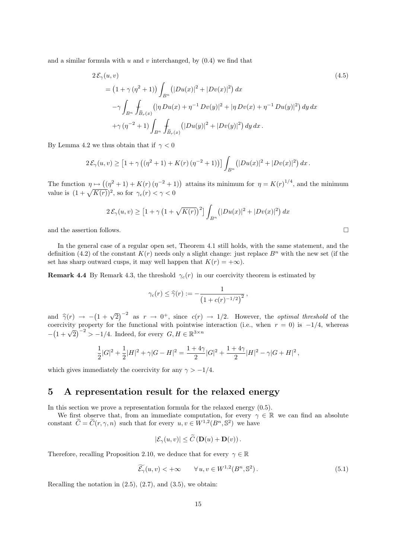and a similar formula with  $u$  and  $v$  interchanged, by  $(0.4)$  we find that

$$
2\mathcal{E}_{\gamma}(u,v)
$$
\n
$$
= (1 + \gamma(\eta^{2} + 1)) \int_{B^{n}} (|Du(x)|^{2} + |Dv(x)|^{2}) dx
$$
\n
$$
- \gamma \int_{B^{n}} \int_{\tilde{B}_{r}(x)} (|\eta Du(x) + \eta^{-1} Dv(y)|^{2} + |\eta Dv(x) + \eta^{-1} Du(y)|^{2}) dy dx
$$
\n
$$
+ \gamma (\eta^{-2} + 1) \int_{B^{n}} \int_{\tilde{B}_{r}(x)} (|Du(y)|^{2} + |Dv(y)|^{2}) dy dx.
$$
\n(4.5)

By Lemma 4.2 we thus obtain that if  $\gamma < 0$ 

$$
2\mathcal{E}_{\gamma}(u,v) \geq [1 + \gamma ((\eta^2 + 1) + K(r) (\eta^{-2} + 1))] \int_{B^n} (|Du(x)|^2 + |Dv(x)|^2) dx.
$$

The function  $\eta \mapsto ((\eta^2 + 1) + K(r)(\eta^{-2} + 1))$  attains its minimum for  $\eta = K(r)^{1/4}$ , and the minimum value is  $(1+\sqrt{K(r)})^2$ , so for  $\gamma_c(r) < \gamma < 0$ 

$$
2\mathcal{E}_{\gamma}(u,v) \ge \left[1 + \gamma \left(1 + \sqrt{K(r)}\right)^2\right] \int_{B^n} \left(|Du(x)|^2 + |Dv(x)|^2\right) dx
$$

and the assertion follows.  $\Box$ 

In the general case of a regular open set. Theorem 4.1 still holds, with the same statement, and the definition (4.2) of the constant  $K(r)$  needs only a slight change: just replace  $B<sup>n</sup>$  with the new set (if the set has sharp outward cusps, it may well happen that  $K(r) = +\infty$ ).

**Remark 4.4** By Remark 4.3, the threshold  $\gamma_c(r)$  in our coercivity theorem is estimated by

$$
\gamma_c(r) \leq \widehat{\gamma}(r) := -\frac{1}{\left(1 + c(r)^{-1/2}\right)^2} \,,
$$

and  $\hat{\gamma}(r) \rightarrow -(1 + \sqrt{2})^{-2}$  as  $r \rightarrow 0^{+}$ , since  $c(r) \rightarrow 1/2$ . However, the *optimal threshold* of the coorgivity property for the functional with pointwise interaction (i.e., when  $r = 0$ ) is  $-1/4$ , whereas coercivity property for the functional with pointwise interaction (i.e., when  $r = 0$ ) is  $-1/4$ , whereas  $-(1+\sqrt{2})^{-2} > -1/4$ . Indeed, for every  $G, H \in \mathbb{R}^{3 \times n}$ 

$$
\frac{1}{2}|G|^2 + \frac{1}{2}|H|^2 + \gamma |G - H|^2 = \frac{1 + 4\gamma}{2}|G|^2 + \frac{1 + 4\gamma}{2}|H|^2 - \gamma |G + H|^2,
$$

which gives immediately the coercivity for any  $\gamma > -1/4$ .

## 5 A representation result for the relaxed energy

In this section we prove a representation formula for the relaxed energy (0.5).

We first observe that, from an immediate computation, for every  $\gamma \in \mathbb{R}$  we can find an absolute constant  $\widetilde{C} = \widetilde{C}(r, \gamma, n)$  such that for every  $u, v \in W^{1,2}(B^n, \mathbb{S}^2)$  we have

$$
|\mathcal{E}_{\gamma}(u,v)| \leq \widetilde{C} \left( \mathbf{D}(u) + \mathbf{D}(v) \right).
$$

Therefore, recalling Proposition 2.10, we deduce that for every  $\gamma \in \mathbb{R}$ 

$$
\widetilde{\mathcal{E}_{\gamma}}(u,v) < +\infty \qquad \forall u, v \in W^{1,2}(B^n, \mathbb{S}^2).
$$
\n(5.1)

Recalling the notation in  $(2.5)$ ,  $(2.7)$ , and  $(3.5)$ , we obtain: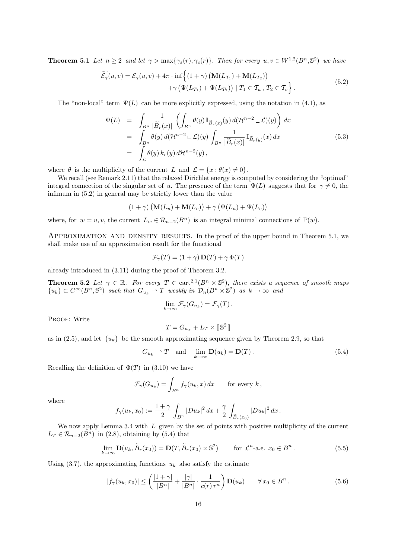**Theorem 5.1** Let  $n \geq 2$  and let  $\gamma > \max{\gamma_s(r), \gamma_c(r)}$ . Then for every  $u, v \in W^{1,2}(B^n, \mathbb{S}^2)$  we have

$$
\widetilde{\mathcal{E}_{\gamma}}(u,v) = \mathcal{E}_{\gamma}(u,v) + 4\pi \cdot \inf \Biggl\{ (1+\gamma) \left( \mathbf{M}(L_{T_1}) + \mathbf{M}(L_{T_2}) \right) + \gamma \left( \Psi(L_{T_1}) + \Psi(L_{T_2}) \right) \mid T_1 \in \mathcal{T}_u, T_2 \in \mathcal{T}_v \Biggr\}.
$$
\n(5.2)

The "non-local" term  $\Psi(L)$  can be more explicitly expressed, using the notation in (4.1), as

$$
\Psi(L) = \int_{B^n} \frac{1}{|\widetilde{B}_r(x)|} \left( \int_{B^n} \theta(y) \mathbb{I}_{\widetilde{B}_r(x)}(y) d(\mathcal{H}^{n-2} \mathcal{L})(y) \right) dx \n= \int_{B^n} \theta(y) d(\mathcal{H}^{n-2} \mathcal{L})(y) \int_{B^n} \frac{1}{|\widetilde{B}_r(x)|} \mathbb{I}_{\widetilde{B}_r(y)}(x) dx \n= \int_{\mathcal{L}} \theta(y) k_r(y) d\mathcal{H}^{n-2}(y),
$$
\n(5.3)

where  $\theta$  is the multiplicity of the current L and  $\mathcal{L} = \{x : \theta(x) \neq 0\}.$ 

We recall (see Remark 2.11) that the relaxed Dirichlet energy is computed by considering the "optimal" integral connection of the singular set of u. The presence of the term  $\Psi(L)$  suggests that for  $\gamma \neq 0$ , the infimum in (5.2) in general may be strictly lower than the value

$$
(1 + \gamma) \left( \mathbf{M}(L_u) + \mathbf{M}(L_v) \right) + \gamma \left( \Psi(L_u) + \Psi(L_v) \right)
$$

where, for  $w = u, v$ , the current  $L_w \in \mathcal{R}_{n-2}(B^n)$  is an integral minimal connections of  $\mathbb{P}(w)$ .

APPROXIMATION AND DENSITY RESULTS. In the proof of the upper bound in Theorem 5.1, we shall make use of an approximation result for the functional

$$
\mathcal{F}_{\gamma}(T) = (1 + \gamma) \mathbf{D}(T) + \gamma \Phi(T)
$$

already introduced in (3.11) during the proof of Theorem 3.2.

**Theorem 5.2** Let  $\gamma \in \mathbb{R}$ . For every  $T \in \text{cart}^{2,1}(B^n \times \mathbb{S}^2)$ , there exists a sequence of smooth maps  ${u_k} \subset C^\infty(B^n, S^2)$  such that  $G_{u_k} \rightharpoonup T$  weakly in  $\mathcal{D}_n(B^n \times S^2)$  as  $k \to \infty$  and

$$
\lim_{k \to \infty} \mathcal{F}_{\gamma}(G_{u_k}) = \mathcal{F}_{\gamma}(T).
$$

PROOF: Write

$$
T=G_{u_T}+L_T\times \lbrack\!\lbrack \,\mathbb{S}^2\rbrack\!\rbrack
$$

as in (2.5), and let  $\{u_k\}$  be the smooth approximating sequence given by Theorem 2.9, so that

$$
G_{u_k} \rightharpoonup T \quad \text{and} \quad \lim_{k \to \infty} \mathbf{D}(u_k) = \mathbf{D}(T). \tag{5.4}
$$

Recalling the definition of  $\Phi(T)$  in (3.10) we have

$$
\mathcal{F}_{\gamma}(G_{u_k}) = \int_{B^n} f_{\gamma}(u_k, x) dx \quad \text{for every } k,
$$

where

$$
f_{\gamma}(u_k, x_0) := \frac{1+\gamma}{2} \int_{B^n} |Du_k|^2 \, dx + \frac{\gamma}{2} \int_{\widetilde{B}_r(x_0)} |Du_k|^2 \, dx.
$$

We now apply Lemma 3.4 with  $L$  given by the set of points with positive multiplicity of the current  $L_T \in \mathcal{R}_{n-2}(B^n)$  in (2.8), obtaining by (5.4) that

$$
\lim_{k \to \infty} \mathbf{D}(u_k, \widetilde{B}_r(x_0)) = \mathbf{D}(T, \widetilde{B}_r(x_0) \times \mathbb{S}^2) \qquad \text{for } \mathcal{L}^n\text{-a.e. } x_0 \in B^n. \tag{5.5}
$$

Using  $(3.7)$ , the approximating functions  $u_k$  also satisfy the estimate

$$
|f_{\gamma}(u_k, x_0)| \le \left(\frac{|1+\gamma|}{|B^n|} + \frac{|\gamma|}{|B^n|} \cdot \frac{1}{c(r) r^n}\right) \mathbf{D}(u_k) \qquad \forall x_0 \in B^n. \tag{5.6}
$$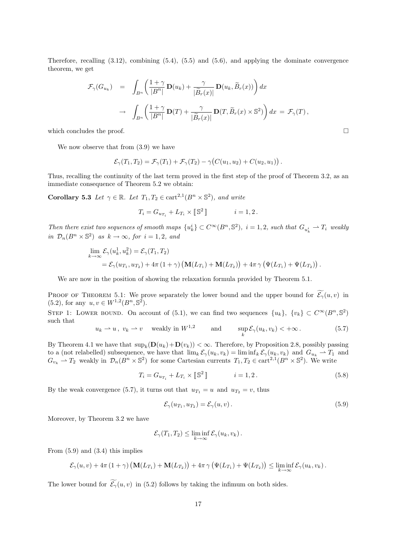Therefore, recalling (3.12), combining (5.4), (5.5) and (5.6), and applying the dominate convergence theorem, we get

$$
\mathcal{F}_{\gamma}(G_{u_k}) = \int_{B^n} \left( \frac{1+\gamma}{|B^n|} \mathbf{D}(u_k) + \frac{\gamma}{|\widetilde{B}_r(x)|} \mathbf{D}(u_k, \widetilde{B}_r(x)) \right) dx
$$

$$
\to \int_{B^n} \left( \frac{1+\gamma}{|B^n|} \mathbf{D}(T) + \frac{\gamma}{|\widetilde{B}_r(x)|} \mathbf{D}(T, \widetilde{B}_r(x) \times \mathbb{S}^2) \right) dx = \mathcal{F}_{\gamma}(T),
$$

which concludes the proof.  $\Box$ 

We now observe that from (3.9) we have

$$
\mathcal{E}_{\gamma}(T_1,T_2) = \mathcal{F}_{\gamma}(T_1) + \mathcal{F}_{\gamma}(T_2) - \gamma (C(u_1,u_2) + C(u_2,u_1)).
$$

Thus, recalling the continuity of the last term proved in the first step of the proof of Theorem 3.2, as an immediate consequence of Theorem 5.2 we obtain:

**Corollary 5.3** Let  $\gamma \in \mathbb{R}$ . Let  $T_1, T_2 \in \text{cart}^{2,1}(B^n \times \mathbb{S}^2)$ , and write

$$
T_i = G_{u_{T_i}} + L_{T_i} \times \llbracket \, \mathbb{S}^2 \, \rrbracket \qquad \qquad i=1,2 \, .
$$

Then there exist two sequences of smooth maps  $\{u_k^i\} \subset C^\infty(B^n, \mathbb{S}^2)$ ,  $i = 1, 2$ , such that  $G_{u_k^i} \rightharpoonup T_i$  weakly in  $\mathcal{D}_n(B^n \times \mathbb{S}^2)$  as  $k \to \infty$ , for  $i = 1, 2$ , and

$$
\lim_{k \to \infty} \mathcal{E}_{\gamma}(u_k^1, u_k^2) = \mathcal{E}_{\gamma}(T_1, T_2)
$$
  
=  $\mathcal{E}_{\gamma}(u_{T_1}, u_{T_2}) + 4\pi (1 + \gamma) \left( \mathbf{M}(L_{T_1}) + \mathbf{M}(L_{T_2}) \right) + 4\pi \gamma \left( \Psi(L_{T_1}) + \Psi(L_{T_2}) \right).$ 

We are now in the position of showing the relaxation formula provided by Theorem 5.1.

PROOF OF THEOREM 5.1: We prove separately the lower bound and the upper bound for  $\widetilde{\mathcal{E}_\gamma}(u, v)$  in (5.2), for any  $u, v \in W^{1,2}(B^n, \mathbb{S}^2)$ .

STEP 1: LOWER BOUND. On account of (5.1), we can find two sequences  $\{u_k\}, \{v_k\} \subset C^{\infty}(B^n, \mathbb{S}^2)$ such that

$$
u_k \rightharpoonup u, v_k \rightharpoonup v \quad \text{weakly in } W^{1,2} \qquad \text{and} \qquad \sup_k \mathcal{E}_{\gamma}(u_k, v_k) < +\infty. \tag{5.7}
$$

By Theorem 4.1 we have that  $\sup_k(D(u_k)+D(v_k))<\infty$ . Therefore, by Proposition 2.8, possibly passing to a (not relabelled) subsequence, we have that  $\lim_k \mathcal{E}_{\gamma}(u_k, v_k) = \liminf_k \mathcal{E}_{\gamma}(u_k, v_k)$  and  $G_{u_k} \to T_1$  and  $G_{v_k} \rightharpoonup T_2$  weakly in  $\mathcal{D}_n(B^n \times \mathbb{S}^2)$  for some Cartesian currents  $T_1, T_2 \in \text{cart}^{2,1}(B^n \times \mathbb{S}^2)$ . We write

$$
T_i = G_{u_{T_i}} + L_{T_i} \times [\mathbb{S}^2] \qquad i = 1, 2. \qquad (5.8)
$$

By the weak convergence (5.7), it turns out that  $u_{T_1} = u$  and  $u_{T_2} = v$ , thus

$$
\mathcal{E}_{\gamma}(u_{T_1}, u_{T_2}) = \mathcal{E}_{\gamma}(u, v). \tag{5.9}
$$

Moreover, by Theorem 3.2 we have

$$
\mathcal{E}_{\gamma}(T_1,T_2) \leq \liminf_{k \to \infty} \mathcal{E}_{\gamma}(u_k,v_k).
$$

From  $(5.9)$  and  $(3.4)$  this implies

$$
\mathcal{E}_{\gamma}(u,v)+4\pi\left(1+\gamma\right)\left(\mathbf{M}(L_{T_1})+\mathbf{M}(L_{T_2})\right)+4\pi\gamma\left(\Psi(L_{T_1})+\Psi(L_{T_2})\right)\leq \liminf_{k\to\infty}\mathcal{E}_{\gamma}(u_k,v_k).
$$

The lower bound for  $\widetilde{\mathcal{E}_{\gamma}}(u, v)$  in (5.2) follows by taking the infimum on both sides.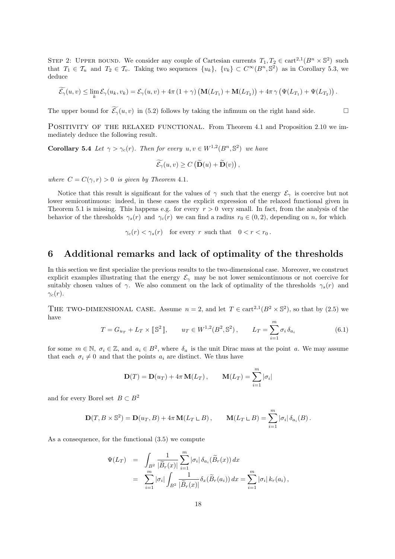STEP 2: UPPER BOUND. We consider any couple of Cartesian currents  $T_1, T_2 \in \text{cart}^{2,1}(B^n \times \mathbb{S}^2)$  such that  $T_1 \in \mathcal{T}_u$  and  $T_2 \in \mathcal{T}_v$ . Taking two sequences  $\{u_k\}, \{v_k\} \subset C^{\infty}(B^n, \mathbb{S}^2)$  as in Corollary 5.3, we deduce

$$
\widetilde{\mathcal{E}_{\gamma}}(u,v) \leq \lim_{k} \mathcal{E}_{\gamma}(u_k,v_k) = \mathcal{E}_{\gamma}(u,v) + 4\pi (1+\gamma) \left( \mathbf{M}(L_{T_1}) + \mathbf{M}(L_{T_2}) \right) + 4\pi \gamma \left( \Psi(L_{T_1}) + \Psi(L_{T_2}) \right).
$$

The upper bound for  $\widetilde{\mathcal{E}_\gamma}(u, v)$  in (5.2) follows by taking the infimum on the right hand side.

POSITIVITY OF THE RELAXED FUNCTIONAL. From Theorem 4.1 and Proposition 2.10 we immediately deduce the following result.

**Corollary 5.4** Let  $\gamma > \gamma_c(r)$ . Then for every  $u, v \in W^{1,2}(B^n, \mathbb{S}^2)$  we have

$$
\widetilde{\mathcal{E}_{\gamma}}(u,v) \geq C\left(\widetilde{\mathbf{D}}(u) + \widetilde{\mathbf{D}}(v)\right),\,
$$

where  $C = C(\gamma, r) > 0$  is given by Theorem 4.1.

Notice that this result is significant for the values of  $\gamma$  such that the energy  $\mathcal{E}_{\gamma}$  is coercive but not lower semicontinuous: indeed, in these cases the explicit expression of the relaxed functional given in Theorem 5.1 is missing. This happens e.g. for every  $r > 0$  very small. In fact, from the analysis of the behavior of the thresholds  $\gamma_s(r)$  and  $\gamma_c(r)$  we can find a radius  $r_0 \in (0, 2)$ , depending on n, for which

 $\gamma_c(r) < \gamma_s(r)$  for every r such that  $0 < r < r_0$ .

### 6 Additional remarks and lack of optimality of the thresholds

In this section we first specialize the previous results to the two-dimensional case. Moreover, we construct explicit examples illustrating that the energy  $\mathcal{E}_{\gamma}$  may be not lower semicontinuous or not coercive for suitably chosen values of  $\gamma$ . We also comment on the lack of optimality of the thresholds  $\gamma_s(r)$  and  $\gamma_c(r)$ .

THE TWO-DIMENSIONAL CASE. Assume  $n = 2$ , and let  $T \in \text{cart}^{2,1}(B^2 \times \mathbb{S}^2)$ , so that by (2.5) we have

$$
T = G_{u_T} + L_T \times [\mathbb{S}^2], \qquad u_T \in W^{1,2}(B^2, \mathbb{S}^2), \qquad L_T = \sum_{i=1}^m \sigma_i \,\delta_{a_i} \tag{6.1}
$$

for some  $m \in \mathbb{N}$ ,  $\sigma_i \in \mathbb{Z}$ , and  $a_i \in B^2$ , where  $\delta_a$  is the unit Dirac mass at the point a. We may assume that each  $\sigma_i \neq 0$  and that the points  $a_i$  are distinct. We thus have

$$
\mathbf{D}(T) = \mathbf{D}(u_T) + 4\pi \mathbf{M}(L_T), \qquad \mathbf{M}(L_T) = \sum_{i=1}^m |\sigma_i|
$$

and for every Borel set  $B \subset B^2$ 

$$
\mathbf{D}(T, B \times \mathbb{S}^2) = \mathbf{D}(u_T, B) + 4\pi \mathbf{M}(L_T \sqcup B), \qquad \mathbf{M}(L_T \sqcup B) = \sum_{i=1}^m |\sigma_i| \delta_{a_i}(B).
$$

As a consequence, for the functional (3.5) we compute

$$
\Psi(L_T) = \int_{B^2} \frac{1}{|\widetilde{B}_r(x)|} \sum_{i=1}^m |\sigma_i| \delta_{a_i}(\widetilde{B}_r(x)) dx
$$
  
\n
$$
= \sum_{i=1}^m |\sigma_i| \int_{B^2} \frac{1}{|\widetilde{B}_r(x)|} \delta_x(\widetilde{B}_r(a_i)) dx = \sum_{i=1}^m |\sigma_i| k_r(a_i),
$$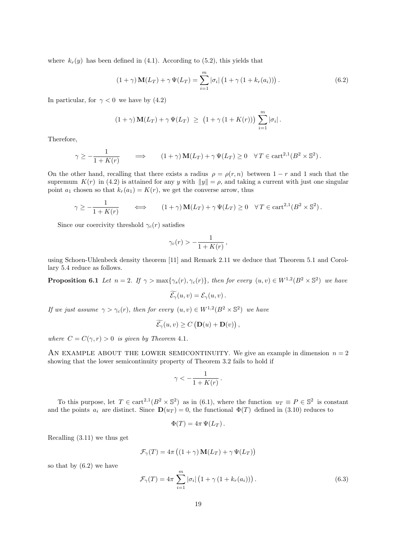where  $k_r(y)$  has been defined in (4.1). According to (5.2), this yields that

$$
(1+\gamma)\mathbf{M}(L_T) + \gamma \Psi(L_T) = \sum_{i=1}^{m} |\sigma_i| (1 + \gamma (1 + k_r(a_i))) .
$$
 (6.2)

In particular, for  $\gamma < 0$  we have by (4.2)

$$
(1+\gamma)\mathbf{M}(L_T)+\gamma\Psi(L_T) \geq (1+\gamma(1+K(r)))\sum_{i=1}^m|\sigma_i|.
$$

Therefore,

$$
\gamma \ge -\frac{1}{1+K(r)} \qquad \Longrightarrow \qquad (1+\gamma)\mathbf{M}(L_T) + \gamma \Psi(L_T) \ge 0 \quad \forall T \in \text{cart}^{2,1}(B^2 \times \mathbb{S}^2).
$$

On the other hand, recalling that there exists a radius  $\rho = \rho(r, n)$  between  $1 - r$  and 1 such that the supremum  $K(r)$  in (4.2) is attained for any y with  $||y|| = \rho$ , and taking a current with just one singular point  $a_1$  chosen so that  $k_r(a_1) = K(r)$ , we get the converse arrow, thus

$$
\gamma \ge -\frac{1}{1+K(r)} \qquad \Longleftrightarrow \qquad (1+\gamma)\mathbf{M}(L_T) + \gamma \Psi(L_T) \ge 0 \quad \forall T \in \text{cart}^{2,1}(B^2 \times \mathbb{S}^2).
$$

Since our coercivity threshold  $\gamma_c(r)$  satisfies

$$
\gamma_c(r) > -\frac{1}{1+K(r)},
$$

using Schoen-Uhlenbeck density theorem [11] and Remark 2.11 we deduce that Theorem 5.1 and Corollary 5.4 reduce as follows.

**Proposition 6.1** Let  $n = 2$ . If  $\gamma > \max{\gamma_s(r), \gamma_c(r)}$ , then for every  $(u, v) \in W^{1,2}(B^2 \times \mathbb{S}^2)$  we have

$$
\widetilde{\mathcal{E}_{\gamma}}(u,v)=\mathcal{E}_{\gamma}(u,v).
$$

If we just assume  $\gamma > \gamma_c(r)$ , then for every  $(u, v) \in W^{1,2}(B^2 \times \mathbb{S}^2)$  we have

$$
\widetilde{\mathcal{E}_{\gamma}}(u,v) \geq C\left(\mathbf{D}(u) + \mathbf{D}(v)\right),\,
$$

where  $C = C(\gamma, r) > 0$  is given by Theorem 4.1.

AN EXAMPLE ABOUT THE LOWER SEMICONTINUITY. We give an example in dimension  $n = 2$ showing that the lower semicontinuity property of Theorem 3.2 fails to hold if

$$
\gamma < -\frac{1}{1+K(r)}.
$$

To this purpose, let  $T \in \text{cart}^{2,1}(B^2 \times \mathbb{S}^2)$  as in (6.1), where the function  $u_T \equiv P \in \mathbb{S}^2$  is constant and the points  $a_i$  are distinct. Since  $\mathbf{D}(u_T) = 0$ , the functional  $\Phi(T)$  defined in (3.10) reduces to

$$
\Phi(T) = 4\pi \Psi(L_T).
$$

Recalling (3.11) we thus get

$$
\mathcal{F}_{\gamma}(T) = 4\pi \left( (1+\gamma) \mathbf{M}(L_T) + \gamma \Psi(L_T) \right)
$$

so that by  $(6.2)$  we have

$$
\mathcal{F}_{\gamma}(T) = 4\pi \sum_{i=1}^{m} |\sigma_{i}| \left( 1 + \gamma \left( 1 + k_{r}(a_{i}) \right) \right). \tag{6.3}
$$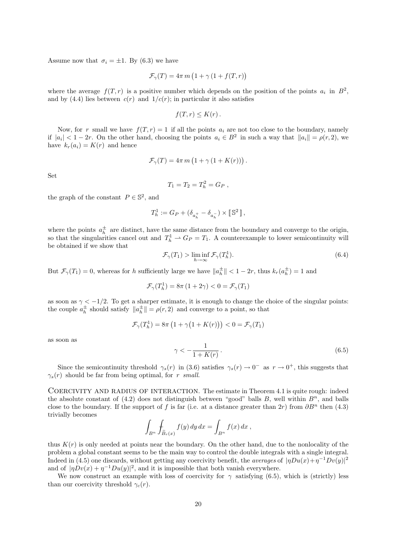Assume now that  $\sigma_i = \pm 1$ . By (6.3) we have

$$
\mathcal{F}_{\gamma}(T) = 4\pi m \left(1 + \gamma \left(1 + f(T, r)\right)\right)
$$

where the average  $f(T,r)$  is a positive number which depends on the position of the points  $a_i$  in  $B^2$ , and by (4.4) lies between  $c(r)$  and  $1/c(r)$ ; in particular it also satisfies

$$
f(T,r) \leq K(r).
$$

Now, for r small we have  $f(T, r) = 1$  if all the points  $a_i$  are not too close to the boundary, namely if  $|a_i| < 1-2r$ . On the other hand, choosing the points  $a_i \in B^2$  in such a way that  $||a_i|| = \rho(r, 2)$ , we have  $k_r(a_i) = K(r)$  and hence

$$
\mathcal{F}_{\gamma}(T) = 4\pi m \left(1 + \gamma \left(1 + K(r)\right)\right)
$$

Set

$$
T_1 = T_2 = T_h^2 = G_P,
$$

the graph of the constant  $P \in \mathbb{S}^2$ , and

$$
T_h^1:=G_P+(\delta_{a_h^+}-\delta_{a_h^-})\times [\![\mathbb{S}^2]\!]\,,
$$

where the points  $a_h^{\pm}$  are distinct, have the same distance from the boundary and converge to the origin, where the points  $u_h$  are distinct, have the same distance from the boundary and converge to the origin, so that the singularities cancel out and  $T_h^1 \rightarrow G_P = T_1$ . A counterexample to lower semicontinuity will be obtained if we show that

$$
\mathcal{F}_{\gamma}(T_1) > \liminf_{h \to \infty} \mathcal{F}_{\gamma}(T_h^1). \tag{6.4}
$$

.

But  $\mathcal{F}_{\gamma}(T_1) = 0$ , whereas for h sufficiently large we have  $||a_h^{\pm}|| < 1 - 2r$ , thus  $k_r(a_h^{\pm}) = 1$  and

$$
\mathcal{F}_\gamma(T^1_h) = 8\pi\left(1+2\gamma\right) < 0 = \mathcal{F}_\gamma(T_1)
$$

as soon as  $\gamma < -1/2$ . To get a sharper estimate, it is enough to change the choice of the singular points: the couple  $a_h^{\pm}$  should satisfy  $||a_h^{\pm}|| = \rho(r, 2)$  and converge to a point, so that

$$
\mathcal{F}_{\gamma}(T_h^1) = 8\pi \left(1 + \gamma \big(1 + K(r)\big)\right) < 0 = \mathcal{F}_{\gamma}(T_1)
$$

as soon as

$$
\gamma < -\frac{1}{1 + K(r)}\,. \tag{6.5}
$$

Since the semicontinuity threshold  $\gamma_s(r)$  in (3.6) satisfies  $\gamma_s(r) \to 0^-$  as  $r \to 0^+$ , this suggests that  $\gamma_s(r)$  should be far from being optimal, for r small.

COERCIVITY AND RADIUS OF INTERACTION. The estimate in Theorem 4.1 is quite rough: indeed the absolute constant of  $(4.2)$  does not distinguish between "good" balls B, well within  $B<sup>n</sup>$ , and balls close to the boundary. If the support of f is far (i.e. at a distance greater than  $2r$ ) from  $\partial B^n$  then (4.3) trivially becomes

$$
\int_{B^n} \int_{\widetilde{B}_r(x)} f(y) dy dx = \int_{B^n} f(x) dx,
$$

thus  $K(r)$  is only needed at points near the boundary. On the other hand, due to the nonlocality of the problem a global constant seems to be the main way to control the double integrals with a single integral. Indeed in (4.5) one discards, without getting any coercivity benefit, the *averages* of  $|\eta Du(x)+\eta^{-1}Dv(y)|^2$ and of  $|\eta Dv(x) + \eta^{-1}Du(y)|^2$ , and it is impossible that both vanish everywhere.

We now construct an example with loss of coercivity for  $\gamma$  satisfying (6.5), which is (strictly) less than our coercivity threshold  $\gamma_c(r)$ .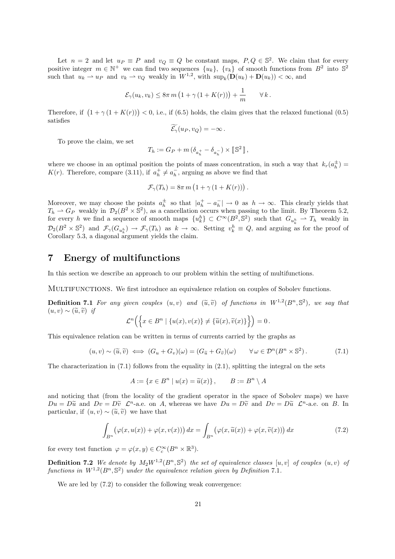Let  $n = 2$  and let  $u_P \equiv P$  and  $v_Q \equiv Q$  be constant maps,  $P, Q \in \mathbb{S}^2$ . We claim that for every positive integer  $m \in \mathbb{N}^+$  we can find two sequences  $\{u_k\}, \{v_k\}$  of smooth functions from  $B^2$  into  $\mathbb{S}^2$ such that  $u_k \rightharpoonup u_P$  and  $v_k \rightharpoonup v_Q$  weakly in  $W^{1,2}$ , with  $\sup_k (\mathbf{D}(u_k) + \mathbf{D}(u_k)) < \infty$ , and

$$
\mathcal{E}_{\gamma}(u_k, v_k) \leq 8\pi m \left(1 + \gamma \left(1 + K(r)\right)\right) + \frac{1}{m} \qquad \forall k.
$$

Therefore, if  $(1 + \gamma(1 + K(r))) < 0$ , i.e., if (6.5) holds, the claim gives that the relaxed functional (0.5) satisfies

$$
\widetilde{\mathcal{E}_{\gamma}}(u_P, v_Q) = -\infty.
$$

To prove the claim, we set

$$
T_h:=G_P+m\left(\delta_{a^+_h}-\delta_{a^-_h}\right)\times\left[{\Bbb S}^2\,\right],
$$

where we choose in an optimal position the points of mass concentration, in such a way that  $k_r(a_h^{\pm}) =$  $K(r)$ . Therefore, compare (3.11), if  $a_h^+ \neq a_h^-$ , arguing as above we find that

$$
\mathcal{F}_{\gamma}(T_h) = 8\pi m \left(1 + \gamma \left(1 + K(r)\right)\right).
$$

Moreover, we may choose the points  $a_h^{\pm}$  so that  $|a_h^+ - a_h^-| \to 0$  as  $h \to \infty$ . This clearly yields that  $T_h \rightharpoonup G_P$  weakly in  $\mathcal{D}_2(B^2 \times \mathbb{S}^2)$ , as a cancellation occurs when passing to the limit. By Theorem 5.2, for every h we find a sequence of smooth maps  $\{u_k^h\} \subset C^{\infty}(B^2, \mathbb{S}^2)$  such that  $G_{u_k^h} \rightharpoonup T_h$  weakly in  $\mathcal{D}_2(B^2 \times \mathbb{S}^2)$  and  $\mathcal{F}_{\gamma}(G_{u_k^h}) \to \mathcal{F}_{\gamma}(T_h)$  as  $k \to \infty$ . Setting  $v_k^h \equiv Q$ , and arguing as for the proof of Corollary 5.3, a diagonal argument yields the claim.

### 7 Energy of multifunctions

In this section we describe an approach to our problem within the setting of multifunctions.

MULTIFUNCTIONS. We first introduce an equivalence relation on couples of Sobolev functions.

**Definition 7.1** For any given couples  $(u, v)$  and  $(\tilde{u}, \tilde{v})$  of functions in  $W^{1,2}(B^n, \mathbb{S}^2)$ , we say that  $(u, v) \propto (\tilde{u}, \tilde{v})$  if  $(u, v) \sim (\widetilde{u}, \widetilde{v})$  if

$$
\mathcal{L}^n\Big(\Big\{x\in B^n\mid \{u(x),v(x)\}\neq \{\widetilde{u}(x),\widetilde{v}(x)\}\Big\}\Big)=0\,.
$$

This equivalence relation can be written in terms of currents carried by the graphs as

$$
(u,v) \sim (\widetilde{u}, \widetilde{v}) \iff (G_u + G_v)(\omega) = (G_{\widetilde{u}} + G_{\widetilde{v}})(\omega) \qquad \forall \omega \in \mathcal{D}^n(B^n \times \mathbb{S}^2).
$$
 (7.1)

The characterization in  $(7.1)$  follows from the equality in  $(2.1)$ , splitting the integral on the sets

$$
A := \{ x \in B^n \mid u(x) = \tilde{u}(x) \}, \qquad B := B^n \setminus A
$$

and noticing that (from the locality of the gradient operator in the space of Sobolev maps) we have  $Du = D\tilde{u}$  and  $Dv = D\tilde{v}$   $\mathcal{L}^n$ -a.e. on A, whereas we have  $Du = D\tilde{v}$  and  $Dv = D\tilde{u}$   $\mathcal{L}^n$ -a.e. on B. In particular, if  $(u, v) \sim (\tilde{u}, \tilde{v})$  we have that

$$
\int_{B^n} \left( \varphi(x, u(x)) + \varphi(x, v(x)) \right) dx = \int_{B^n} \left( \varphi(x, \tilde{u}(x)) + \varphi(x, \tilde{v}(x)) \right) dx \tag{7.2}
$$

for every test function  $\varphi = \varphi(x, y) \in C_c^{\infty}(B^n \times \mathbb{R}^3)$ .

**Definition 7.2** We denote by  $M_2W^{1,2}(B^n,\mathbb{S}^2)$  the set of equivalence classes  $[u, v]$  of couples  $(u, v)$  of functions in  $W^{1,2}(B^n, \mathbb{S}^2)$  under the equivalence relation given by Definition 7.1.

We are led by  $(7.2)$  to consider the following weak convergence: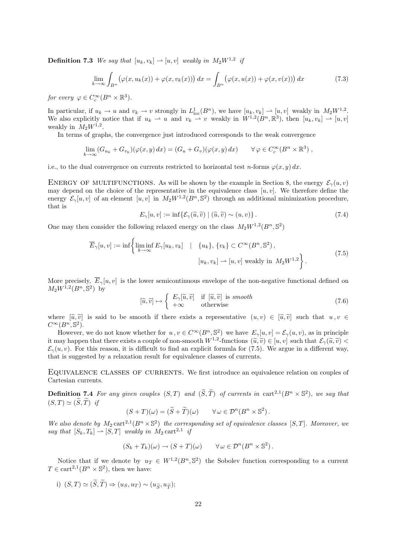**Definition 7.3** We say that  $[u_k, v_k] \rightarrow [u, v]$  weakly in  $M_2W^{1,2}$  if

$$
\lim_{k \to \infty} \int_{B^n} \left( \varphi(x, u_k(x)) + \varphi(x, v_k(x)) \right) dx = \int_{B^n} \left( \varphi(x, u(x)) + \varphi(x, v(x)) \right) dx \tag{7.3}
$$

for every  $\varphi \in C_c^{\infty}(B^n \times \mathbb{R}^3)$ .

In particular, if  $u_k \to u$  and  $v_k \to v$  strongly in  $L^1_{loc}(B^n)$ , we have  $[u_k, v_k] \to [u, v]$  weakly in  $M_2W^{1,2}$ . We also explicitly notice that if  $u_k \rightharpoonup u$  and  $v_k \rightharpoonup v$  weakly in  $W^{1,2}(B^n,\mathbb{R}^3)$ , then  $[u_k,v_k] \rightharpoonup [u,v]$ weakly in  $M_2W^{1,2}$ .

In terms of graphs, the convergence just introduced corresponds to the weak convergence

$$
\lim_{k \to \infty} (G_{u_k} + G_{v_k})(\varphi(x, y) dx) = (G_u + G_v)(\varphi(x, y) dx) \qquad \forall \varphi \in C_c^{\infty}(B^n \times \mathbb{R}^3),
$$

i.e., to the dual convergence on currents restricted to horizontal test n-forms  $\varphi(x, y) dx$ .

ENERGY OF MULTIFUNCTIONS. As will be shown by the example in Section 8, the energy  $\mathcal{E}_{\gamma}(u, v)$ may depend on the choice of the representative in the equivalence class  $[u, v]$ . We therefore define the energy  $\mathcal{E}_{\gamma}[u, v]$  of an element  $[u, v]$  in  $M_2W^{1,2}(B^n, \mathbb{S}^2)$  through an additional minimization procedure, that is

$$
E_{\gamma}[u, v] := \inf \{ \mathcal{E}_{\gamma}(\widetilde{u}, \widetilde{v}) \mid (\widetilde{u}, \widetilde{v}) \sim (u, v) \}.
$$
 (7.4)

One may then consider the following relaxed energy on the class  $M_2W^{1,2}(B^n, \mathbb{S}^2)$ 

$$
\overline{E}_{\gamma}[u,v] := \inf \left\{ \liminf_{k \to \infty} E_{\gamma}[u_k, v_k] \quad | \quad \{u_k\}, \{v_k\} \subset C^{\infty}(B^n, \mathbb{S}^2), [u_k, v_k] \to [u, v] \text{ weakly in } M_2 W^{1,2} \right\}.
$$
\n
$$
(7.5)
$$

More precisely,  $\overline{E}_{\gamma}[u, v]$  is the lower semicontinuous envelope of the non-negative functional defined on  $M_2W^{1,2}(B^n, \mathbb{S}^2)$  by

$$
[\widetilde{u}, \widetilde{v}] \mapsto \begin{cases} E_{\gamma}[\widetilde{u}, \widetilde{v}] & \text{if } [\widetilde{u}, \widetilde{v}] \text{ is smooth} \\ +\infty & \text{otherwise} \end{cases} \tag{7.6}
$$

where  $[\tilde{u}, \tilde{v}]$  is said to be smooth if there exists a representative  $(u, v) \in [\tilde{u}, \tilde{v}]$  such that  $u, v \in$  $C^{\infty}(B^n, \mathbb{S}^2).$ 

However, we do not know whether for  $u, v \in C^{\infty}(B^n, \mathbb{S}^2)$  we have  $E_{\gamma}[u, v] = \mathcal{E}_{\gamma}(u, v)$ , as in principle it may happen that there exists a couple of non-smooth  $W^{1,2}$ -functions  $(\tilde{u}, \tilde{v}) \in [u, v]$  such that  $\mathcal{E}_{\gamma}(\tilde{u}, \tilde{v}) < \mathcal{E}_{\gamma}(u, v)$ . For this reason, it is difficult to find an evaluate formula for  $(7.5)$ . We  $\mathcal{E}_{\gamma}(u, v)$ . For this reason, it is difficult to find an explicit formula for (7.5). We argue in a different way, that is suggested by a relaxation result for equivalence classes of currents.

EQUIVALENCE CLASSES OF CURRENTS. We first introduce an equivalence relation on couples of Cartesian currents.

**Definition 7.4** For any given couples  $(S,T)$  and  $(\widetilde{S},\widetilde{T})$  of currents in cart<sup>2,1</sup> $(B^n \times S^2)$ , we say that  $(S, T) \simeq (S, T)$  if

$$
(S+T)(\omega) = (\widetilde{S}+\widetilde{T})(\omega) \qquad \forall \omega \in \mathcal{D}^n(B^n \times \mathbb{S}^2).
$$

We also denote by  $M_2 \text{ cart}^{2,1}(B^n \times \mathbb{S}^2)$  the corresponding set of equivalence classes [S,T]. Moreover, we say that  $[S_k, T_k] \rightharpoonup [S, T]$  weakly in  $M_2$  cart<sup>2,1</sup> if

$$
(S_k + T_k)(\omega) \to (S + T)(\omega) \qquad \forall \omega \in \mathcal{D}^n(B^n \times \mathbb{S}^2).
$$

Notice that if we denote by  $u_T \in W^{1,2}(B^n, \mathbb{S}^2)$  the Sobolev function corresponding to a current  $T \in \text{cart}^{2,1}(B^n \times \mathbb{S}^2)$ , then we have:

i)  $(S, T) \simeq (\widetilde{S}, \widetilde{T}) \Rightarrow (u_S, u_T) \sim (u_{\widetilde{S}}, u_{\widetilde{T}});$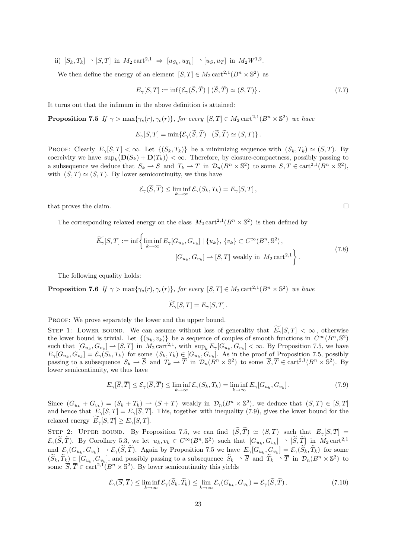ii)  $[S_k, T_k] \rightharpoonup [S, T]$  in  $M_2 \text{ cart}^{2,1} \Rightarrow [u_{S_k}, u_{T_k}] \rightharpoonup [u_S, u_T]$  in  $M_2 W^{1,2}$ .

We then define the energy of an element  $[S, T] \in M_2 \text{ cart}^{2,1}(B^n \times \mathbb{S}^2)$  as

$$
E_{\gamma}[S,T] := \inf \{ \mathcal{E}_{\gamma}(\widetilde{S}, \widetilde{T}) \mid (\widetilde{S}, \widetilde{T}) \simeq (S,T) \}.
$$
 (7.7)

It turns out that the infimum in the above definition is attained:

**Proposition 7.5** If  $\gamma > \max{\gamma_s(r), \gamma_c(r)}$ , for every  $[S, T] \in M_2 \text{ cart}^{2,1}(B^n \times \mathbb{S}^2)$  we have

$$
E_{\gamma}[S,T] = \min \{ \mathcal{E}_{\gamma}(\widetilde{S},\widetilde{T}) \mid (\widetilde{S},\widetilde{T}) \simeq (S,T) \}.
$$

PROOF: Clearly  $E_{\gamma}[S,T] < \infty$ . Let  $\{(S_k,T_k)\}\)$  be a minimizing sequence with  $(S_k,T_k) \simeq (S,T)$ . By coercivity we have  $\sup_k (D(S_k) + D(T_k)) < \infty$ . Therefore, by closure-compactness, possibly passing to a subsequence we deduce that  $S_k \rightharpoonup \overline{S}$  and  $T_k \rightharpoonup \overline{T}$  in  $\mathcal{D}_n(B^n \times \mathbb{S}^2)$  to some  $\overline{S}, \overline{T} \in \text{cart}^{2,1}(B^n \times \mathbb{S}^2)$ , with  $(\overline{S}, \overline{T}) \simeq (S, T)$ . By lower semicontinuity, we thus have

$$
\mathcal{E}_{\gamma}(\overline{S},\overline{T}) \le \liminf_{k \to \infty} \mathcal{E}_{\gamma}(S_k,T_k) = E_{\gamma}[S,T],
$$

that proves the claim.  $\square$ 

The corresponding relaxed energy on the class  $M_2 \text{ cart}^{2,1}(B^n \times \mathbb{S}^2)$  is then defined by

$$
\widetilde{E}_{\gamma}[S,T] := \inf \left\{ \liminf_{k \to \infty} E_{\gamma}[G_{u_k}, G_{v_k}] \mid \{u_k\}, \{v_k\} \subset C^{\infty}(B^n, \mathbb{S}^2), \n[G_{u_k}, G_{v_k}] \to [S, T] \text{ weakly in } M_2 \text{ cart}^{2,1} \right\}.
$$
\n(7.8)

The following equality holds:

**Proposition 7.6** If  $\gamma > \max{\gamma_s(r), \gamma_c(r)}$ , for every  $[S, T] \in M_2 \text{ cart}^{2,1}(B^n \times \mathbb{S}^2)$  we have

$$
\widetilde{E_{\gamma}}[S,T] = E_{\gamma}[S,T].
$$

PROOF: We prove separately the lower and the upper bound.

STEP 1: LOWER BOUND. We can assume without loss of generality that  $\widetilde{E}_{\gamma}[S,T] < \infty$ , otherwise the lower bound is trivial. Let  $\{(u_k, v_k)\}\)$  be a sequence of couples of smooth functions in  $C^{\infty}(B^n, \mathbb{S}^2)$ such that  $[G_{u_k}, G_{v_k}] \rightharpoonup [S, T]$  in  $M_2 \text{ cart}^{2,1}$ , with  $\sup_k E_{\gamma}[G_{u_k}, G_{v_k}] < \infty$ . By Proposition 7.5, we have  $E_{\gamma}[G_{u_k}, G_{v_k}] = \mathcal{E}_{\gamma}(S_k, T_k)$  for some  $(S_k, T_k) \in [G_{u_k}, G_{v_k}]$ . As in the proof of Proposition 7.5, possibly passing to a subsequence  $S_k \rightharpoonup \overline{S}$  and  $T_k \rightharpoonup \overline{T}$  in  $\mathcal{D}_n(B^n \times \mathbb{S}^2)$  to some  $\overline{S}, \overline{T} \in \text{cart}^{2,1}(B^n \times \mathbb{S}^2)$ . By lower semicontinuity, we thus have

$$
E_{\gamma}[\overline{S}, \overline{T}] \le \mathcal{E}_{\gamma}(\overline{S}, \overline{T}) \le \liminf_{k \to \infty} \mathcal{E}_{\gamma}(S_k, T_k) = \liminf_{k \to \infty} E_{\gamma}[G_{u_k}, G_{v_k}].
$$
\n(7.9)

Since  $(G_{u_k} + G_{v_k}) = (S_k + T_k) \rightharpoonup (\overline{S} + \overline{T})$  weakly in  $\mathcal{D}_n(B^n \times \mathbb{S}^2)$ , we deduce that  $(\overline{S}, \overline{T}) \in [S, T]$ and hence that  $E_{\gamma}[S,T] = E_{\gamma}[\overline{S},\overline{T}]$ . This, together with inequality (7.9), gives the lower bound for the relaxed energy  $\widetilde{E}_{\gamma}[S,T] \geq E_{\gamma}[S,T].$ 

STEP 2: UPPER BOUND. By Proposition 7.5, we can find  $(\widetilde{S}, \widetilde{T}) \simeq (S, T)$  such that  $E_{\gamma}[S, T] =$  $\mathcal{E}_{\gamma}(\widetilde{S},\widetilde{T})$ . By Corollary 5.3, we let  $u_k, v_k \in C^{\infty}(B^n, \mathbb{S}^2)$  such that  $[G_{u_k}, G_{v_k}] \to [\widetilde{S},\widetilde{T}]$  in  $M_2 \text{ cart}^{2,1}$ and  $\mathcal{E}_{\gamma}(G_{u_k}, G_{v_k}) \to \mathcal{E}_{\gamma}(S, T)$ . Again by Proposition 7.5 we have  $E_{\gamma}[G_{u_k}, G_{v_k}] = \mathcal{E}_{\gamma}(S_k, T_k)$  for some  $(\widetilde{S}_k, \widetilde{T}_k) \in [G_{u_k}, G_{v_k}],$  and possibly passing to a subsequence  $\widetilde{S}_k \rightharpoonup \overline{S}$  and  $\widetilde{T}_k \rightharpoonup \overline{T}$  in  $\mathcal{D}_n(B^n \times \mathbb{S}^2)$  to some  $\overline{S}, \overline{T} \in \text{cart}^{2,1}(B^n \times \mathbb{S}^2)$ . By lower semicontinuity this yields

$$
\mathcal{E}_{\gamma}(\overline{S}, \overline{T}) \le \liminf_{k \to \infty} \mathcal{E}_{\gamma}(\widetilde{S}_k, \widetilde{T}_k) \le \lim_{k \to \infty} \mathcal{E}_{\gamma}(G_{u_k}, G_{v_k}) = \mathcal{E}_{\gamma}(\widetilde{S}, \widetilde{T}). \tag{7.10}
$$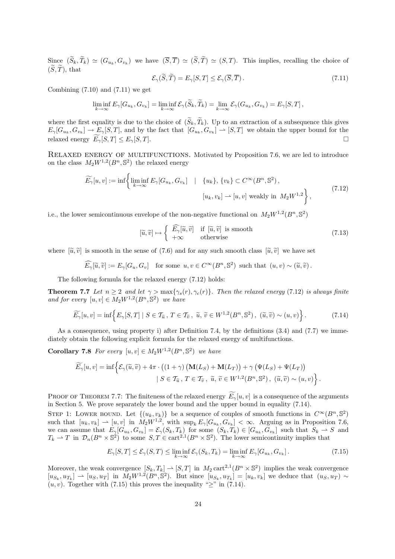Since  $(S_k, T_k) \simeq (G_{u_k}, G_{v_k})$  we have  $(S, T) \simeq (S, T) \simeq (S, T)$ . This implies, recalling the choice of  $(\widetilde{S}, \widetilde{T})$ , that

$$
\mathcal{E}_{\gamma}(\widetilde{S}, \widetilde{T}) = E_{\gamma}[S, T] \le \mathcal{E}_{\gamma}(\overline{S}, \overline{T}). \tag{7.11}
$$

Combining  $(7.10)$  and  $(7.11)$  we get

$$
\liminf_{k \to \infty} E_{\gamma}[G_{u_k}, G_{v_k}] = \liminf_{k \to \infty} \mathcal{E}_{\gamma}(\widetilde{S}_k, \widetilde{T}_k) = \lim_{k \to \infty} \mathcal{E}_{\gamma}(G_{u_k}, G_{v_k}) = E_{\gamma}[S, T],
$$

where the first equality is due to the choice of  $(\widetilde{S}_k, \widetilde{T}_k)$ . Up to an extraction of a subsequence this gives  $E_{\gamma}[G_{u_k}, G_{v_k}] \to E_{\gamma}[S, T]$ , and by the fact that  $[G_{u_k}, G_{v_k}] \to [S, T]$  we obtain the upper bound for the relaxed energy  $\widetilde{E_{\gamma}}[S,T] \leq E_{\gamma}[S,T].$ 

RELAXED ENERGY OF MULTIFUNCTIONS. Motivated by Proposition 7.6, we are led to introduce on the class  $M_2W^{1,2}(B^n, \mathbb{S}^2)$  the relaxed energy

$$
\widetilde{E_{\gamma}}[u, v] := \inf \left\{ \liminf_{k \to \infty} E_{\gamma}[G_{u_k}, G_{v_k}] \quad | \quad \{u_k\}, \{v_k\} \subset C^{\infty}(B^n, \mathbb{S}^2),
$$
\n
$$
[u_k, v_k] \to [u, v] \text{ weakly in } M_2 W^{1,2} \right\},\tag{7.12}
$$

i.e., the lower semicontinuous envelope of the non-negative functional on  $M_2W^{1,2}(B^n, \mathbb{S}^2)$ 

$$
[\widetilde{u}, \widetilde{v}] \mapsto \begin{cases} \widehat{E_{\gamma}}[\widetilde{u}, \widetilde{v}] & \text{if } [\widetilde{u}, \widetilde{v}] \text{ is smooth} \\ +\infty & \text{otherwise} \end{cases}
$$
\n(7.13)

where  $[\tilde{u}, \tilde{v}]$  is smooth in the sense of (7.6) and for any such smooth class  $[\tilde{u}, \tilde{v}]$  we have set

$$
\widehat{E}_{\gamma}[\widetilde{u},\widetilde{v}] := E_{\gamma}[G_u, G_v] \quad \text{for some } u, v \in C^{\infty}(B^n, \mathbb{S}^2) \text{ such that } (u, v) \sim (\widetilde{u}, \widetilde{v})\,.
$$

The following formula for the relaxed energy (7.12) holds:

**Theorem 7.7** Let  $n \geq 2$  and let  $\gamma > \max{\gamma_s(r), \gamma_c(r)}$ . Then the relaxed energy (7.12) is always finite and for every  $[u, v] \in M_2W^{1,2}(B^n, \mathbb{S}^2)$  we have

$$
\widetilde{E}_{\gamma}[u,v] = \inf \left\{ E_{\gamma}[S,T] \mid S \in \mathcal{T}_{\widetilde{u}}, T \in \mathcal{T}_{\widetilde{v}}, \widetilde{u}, \widetilde{v} \in W^{1,2}(B^n, \mathbb{S}^2), (\widetilde{u}, \widetilde{v}) \sim (u,v) \right\}.
$$
\n(7.14)

As a consequence, using property i) after Definition 7.4, by the definitions (3.4) and (7.7) we immediately obtain the following explicit formula for the relaxed energy of multifunctions.

**Corollary 7.8** For every  $[u, v] \in M_2W^{1,2}(B^n, \mathbb{S}^2)$  we have

$$
\widetilde{E_{\gamma}}[u, v] = \inf \Big\{ \mathcal{E}_{\gamma}(\widetilde{u}, \widetilde{v}) + 4\pi \cdot \left( (1 + \gamma) \left( \mathbf{M}(L_S) + \mathbf{M}(L_T) \right) + \gamma \left( \Psi(L_S) + \Psi(L_T) \right) \Big| S \in \mathcal{T}_{\widetilde{u}}, T \in \mathcal{T}_{\widetilde{v}}, \widetilde{u}, \widetilde{v} \in W^{1,2}(B^n, \mathbb{S}^2), (\widetilde{u}, \widetilde{v}) \sim (u, v) \Big\} .
$$

PROOF OF THEOREM 7.7: The finiteness of the relaxed energy  $E_{\gamma}[u, v]$  is a consequence of the arguments in Section 5. We prove separately the lower bound and the upper bound in equality (7.14).

STEP 1: LOWER BOUND. Let  $\{(u_k, v_k)\}\)$  be a sequence of couples of smooth functions in  $C^{\infty}(B^n, \mathbb{S}^2)$ such that  $[u_k, v_k] \rightharpoonup [u, v]$  in  $M_2 W^{1,2}$ , with  $\sup_k E_\gamma[G_{u_k}, G_{v_k}] < \infty$ . Arguing as in Proposition 7.6, we can assume that  $E_{\gamma}[G_{u_k}, G_{v_k}] = \mathcal{E}_{\gamma}(S_k, T_k)$  for some  $(S_k, T_k) \in [G_{u_k}, G_{v_k}]$  such that  $S_k \rightharpoonup S$  and  $T_k \rightharpoonup T$  in  $\mathcal{D}_n(B^n \times \mathbb{S}^2)$  to some  $S, T \in \text{cart}^{2,1}(B^n \times \mathbb{S}^2)$ . The lower semicontinuity implies that

$$
E_{\gamma}[S,T] \le \mathcal{E}_{\gamma}(S,T) \le \liminf_{k \to \infty} \mathcal{E}_{\gamma}(S_k,T_k) = \liminf_{k \to \infty} E_{\gamma}[G_{u_k},G_{v_k}]. \tag{7.15}
$$

Moreover, the weak convergence  $[S_k, T_k] \to [S, T]$  in  $M_2 \text{ cart}^{2,1}(B^n \times \mathbb{S}^2)$  implies the weak convergence  $[u_{S_k}, u_{T_k}] \rightharpoonup [u_S, u_T]$  in  $M_2 W^{1,2}(B^n, \mathbb{S}^2)$ . But since  $[u_{S_k}, u_{T_k}] = [u_k, v_k]$  we deduce that  $(u_S, u_T) \rightharpoonup$  $(u, v)$ . Together with (7.15) this proves the inequality " $\geq$ " in (7.14).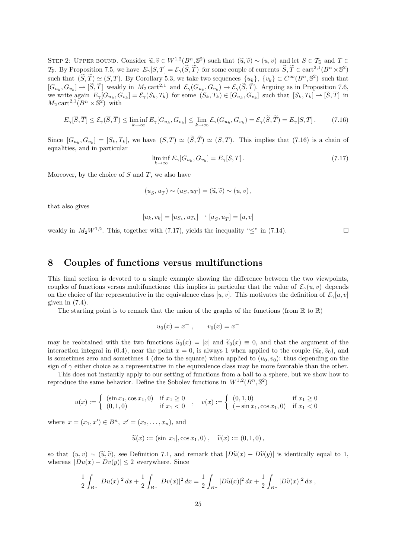STEP 2: UPPER BOUND. Consider  $\widetilde{u}, \widetilde{v} \in W^{1,2}(B^n, \mathbb{S}^2)$  such that  $(\widetilde{u}, \widetilde{v}) \sim (u, v)$  and let  $S \in \mathcal{T}_{\widetilde{u}}$  and  $T \in \mathcal{T}$ . By Proposition  $\mathbb{Z}^r$ , we have  $E[\widetilde{u}, \widetilde{T}] \in \mathcal{E}(\widetilde{u}, \widetilde{T})$  for s  $\mathcal{T}_{\tilde{v}}$ . By Proposition 7.5, we have  $E_{\gamma}[S,T] = \mathcal{E}_{\gamma}(\tilde{S},\tilde{T})$  for some couple of currents  $\tilde{S}, \tilde{T} \in \text{cart}^{2,1}(B^n \times \mathbb{S}^2)$ such that  $(\widetilde{S}, \widetilde{T}) \simeq (S, T)$ . By Corollary 5.3, we take two sequences  $\{u_k\}$ ,  $\{v_k\} \subset C^{\infty}(B^n, \mathbb{S}^2)$  such that  $[G_{u_k}, G_{v_k}] \to [\tilde{S}, \tilde{T}]$  weakly in  $M_2 \text{ cart}^{2,1}$  and  $\mathcal{E}_{\gamma}(G_{u_k}, G_{v_k}) \to \mathcal{E}_{\gamma}(\tilde{S}, \tilde{T})$ . Arguing as in Proposition 7.6, we write again  $E_{\gamma}[G_{u_k}, G_{v_k}] = \mathcal{E}_{\gamma}(S_k, T_k)$  for some  $(S_k, T_k) \in [G_{u_k}, G_{v_k}]$  such that  $[S_k, T_k] \to [S, T]$  in  $M_2 \text{ cart}^{2,1}(B^n \times \mathbb{S}^2)$  with

$$
E_{\gamma}[\overline{S}, \overline{T}] \leq \mathcal{E}_{\gamma}(\overline{S}, \overline{T}) \leq \liminf_{k \to \infty} E_{\gamma}[G_{u_k}, G_{v_k}] \leq \lim_{k \to \infty} \mathcal{E}_{\gamma}(G_{u_k}, G_{v_k}) = \mathcal{E}_{\gamma}(\widetilde{S}, \widetilde{T}) = E_{\gamma}[S, T]. \tag{7.16}
$$

Since  $[G_{u_k}, G_{v_k}] = [S_k, T_k]$ , we have  $(S, T) \simeq (S, T) \simeq (S, T)$ . This implies that (7.16) is a chain of equalities, and in particular

$$
\liminf_{k \to \infty} E_{\gamma}[G_{u_k}, G_{v_k}] = E_{\gamma}[S, T]. \tag{7.17}
$$

Moreover, by the choice of  $S$  and  $T$ , we also have

$$
(u_{\overline{S}}, u_{\overline{T}}) \sim (u_S, u_T) = (\widetilde{u}, \widetilde{v}) \sim (u, v),
$$

that also gives

$$
[u_k, v_k] = [u_{S_k}, u_{T_k}] \rightarrow [u_{\overline{S}}, u_{\overline{T}}] = [u, v]
$$

weakly in  $M_2W^{1,2}$ . This, together with (7.17), yields the inequality " $\leq$ " in (7.14).

#### 8 Couples of functions versus multifunctions

This final section is devoted to a simple example showing the difference between the two viewpoints, couples of functions versus multifunctions: this implies in particular that the value of  $\mathcal{E}_{\gamma}(u, v)$  depends on the choice of the representative in the equivalence class  $[u, v]$ . This motivates the definition of  $\mathcal{E}_{\gamma}[u, v]$ given in (7.4).

The starting point is to remark that the union of the graphs of the functions (from  $\mathbb R$  to  $\mathbb R$ )

$$
u_0(x) = x^+
$$
,  $v_0(x) = x^-$ 

may be reobtained with the two functions  $\tilde{u}_0(x) = |x|$  and  $\tilde{v}_0(x) \equiv 0$ , and that the argument of the interaction integral in (0.4), near the point  $x = 0$ , is always 1 when applied to the couple  $(\tilde{u}_0, \tilde{v}_0)$ , and is sometimes zero and sometimes 4 (due to the square) when applied to  $(u_0, v_0)$ : thus depending on the sign of  $\gamma$  either choice as a representative in the equivalence class may be more favorable than the other.

This does not instantly apply to our setting of functions from a ball to a sphere, but we show how to reproduce the same behavior. Define the Sobolev functions in  $W^{1,2}(B^n, \mathbb{S}^2)$ 

$$
u(x) := \begin{cases} (\sin x_1, \cos x_1, 0) & \text{if } x_1 \ge 0 \\ (0, 1, 0) & \text{if } x_1 < 0 \end{cases}, \quad v(x) := \begin{cases} (0, 1, 0) & \text{if } x_1 \ge 0 \\ (-\sin x_1, \cos x_1, 0) & \text{if } x_1 < 0 \end{cases}
$$

where  $x = (x_1, x') \in B^n$ ,  $x' = (x_2, \dots, x_n)$ , and

$$
\widetilde{u}(x) := (\sin |x_1|, \cos x_1, 0), \quad \widetilde{v}(x) := (0, 1, 0),
$$

so that  $(u, v) \sim (\tilde{u}, \tilde{v})$ , see Definition 7.1, and remark that  $|D\tilde{u}(x) - D\tilde{v}(y)|$  is identically equal to 1, whereas  $|Du(x) - Dv(y)| \leq 2$  everywhere. Since

$$
\frac{1}{2}\int_{B^n} |Du(x)|^2 dx + \frac{1}{2}\int_{B^n} |Dv(x)|^2 dx = \frac{1}{2}\int_{B^n} |D\widetilde{u}(x)|^2 dx + \frac{1}{2}\int_{B^n} |D\widetilde{v}(x)|^2 dx,
$$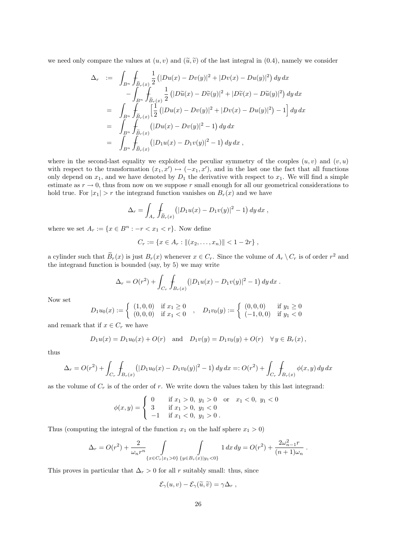we need only compare the values at  $(u, v)$  and  $(\tilde{u}, \tilde{v})$  of the last integral in (0.4), namely we consider

$$
\Delta_r := \int_{B^n} \int_{\tilde{B}_r(x)} \frac{1}{2} (|Du(x) - Dv(y)|^2 + |Dv(x) - Du(y)|^2) dy dx
$$
  
\n
$$
- \int_{B^n} \int_{\tilde{B}_r(x)} \frac{1}{2} (|D\tilde{u}(x) - D\tilde{v}(y)|^2 + |D\tilde{v}(x) - D\tilde{u}(y)|^2) dy dx
$$
  
\n
$$
= \int_{B^n} \int_{\tilde{B}_r(x)} \left[ \frac{1}{2} (|Du(x) - Dv(y)|^2 + |Dv(x) - Du(y)|^2) - 1 \right] dy dx
$$
  
\n
$$
= \int_{B^n} \int_{\tilde{B}_r(x)} (|Du(x) - Dv(y)|^2 - 1) dy dx
$$
  
\n
$$
= \int_{B^n} \int_{\tilde{B}_r(x)} (|D_1 u(x) - D_1 v(y)|^2 - 1) dy dx,
$$

where in the second-last equality we exploited the peculiar symmetry of the couples  $(u, v)$  and  $(v, u)$ with respect to the transformation  $(x_1, x') \mapsto (-x_1, x')$ , and in the last one the fact that all functions only depend on  $x_1$ , and we have denoted by  $D_1$  the derivative with respect to  $x_1$ . We will find a simple estimate as  $r \to 0$ , thus from now on we suppose r small enough for all our geometrical considerations to hold true. For  $|x_1| > r$  the integrand function vanishes on  $B_r(x)$  and we have

$$
\Delta_r = \int_{A_r} \int_{\widetilde{B}_r(x)} (|D_1 u(x) - D_1 v(y)|^2 - 1) \, dy \, dx \,,
$$

where we set  $A_r := \{x \in B^n : -r < x_1 < r\}$ . Now define

$$
C_r := \{ x \in A_r : || (x_2, \ldots, x_n) || < 1 - 2r \},
$$

a cylinder such that  $\tilde{B}_r(x)$  is just  $B_r(x)$  whenever  $x \in C_r$ . Since the volume of  $A_r \setminus C_r$  is of order  $r^2$  and the integrand function is bounded (say, by 5) we may write

$$
\Delta_r = O(r^2) + \int_{C_r} \int_{B_r(x)} (|D_1 u(x) - D_1 v(y)|^2 - 1) dy dx.
$$

Now set

$$
D_1 u_0(x) := \begin{cases} (1,0,0) & \text{if } x_1 \ge 0 \\ (0,0,0) & \text{if } x_1 < 0 \end{cases}, \quad D_1 v_0(y) := \begin{cases} (0,0,0) & \text{if } y_1 \ge 0 \\ (-1,0,0) & \text{if } y_1 < 0 \end{cases}
$$

and remark that if  $x \in C_r$  we have

$$
D_1 u(x) = D_1 u_0(x) + O(r)
$$
 and  $D_1 v(y) = D_1 v_0(y) + O(r)$   $\forall y \in B_r(x)$ ,

thus

$$
\Delta_r = O(r^2) + \int_{C_r} \int_{B_r(x)} (|D_1 u_0(x) - D_1 v_0(y)|^2 - 1) dy dx =: O(r^2) + \int_{C_r} \int_{B_r(x)} \phi(x, y) dy dx
$$

as the volume of  $C_r$  is of the order of r. We write down the values taken by this last integrand:

$$
\phi(x,y) = \begin{cases}\n0 & \text{if } x_1 > 0, \ y_1 > 0 \text{ or } x_1 < 0, \ y_1 < 0 \\
3 & \text{if } x_1 > 0, \ y_1 < 0 \\
-1 & \text{if } x_1 < 0, \ y_1 > 0\n\end{cases}
$$

Thus (computing the integral of the function  $x_1$  on the half sphere  $x_1 > 0$ )

$$
\Delta_r = O(r^2) + \frac{2}{\omega_n r^n} \int_{\{x \in C_r | x_1 > 0\}} \int_{\{y \in B_r(x) | y_1 < 0\}} 1 \, dx \, dy = O(r^2) + \frac{2\omega_{n-1}^2 r}{(n+1)\omega_n} \, .
$$

This proves in particular that  $\Delta_r > 0$  for all r suitably small: thus, since

$$
\mathcal{E}_{\gamma}(u,v) - \mathcal{E}_{\gamma}(\widetilde{u},\widetilde{v}) = \gamma \Delta_r ,
$$